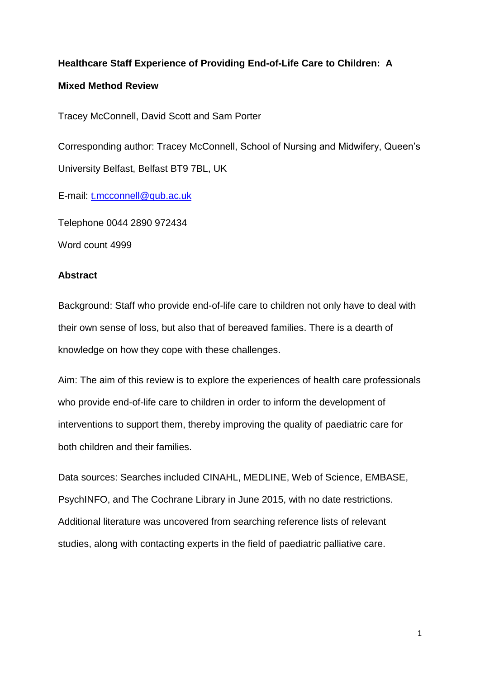# **Healthcare Staff Experience of Providing End-of-Life Care to Children: A**

# **Mixed Method Review**

Tracey McConnell, David Scott and Sam Porter

Corresponding author: Tracey McConnell, School of Nursing and Midwifery, Queen's University Belfast, Belfast BT9 7BL, UK

E-mail: [t.mcconnell@qub.ac.uk](mailto:t.mcconnell@qub.ac.uk)

Telephone 0044 2890 972434

Word count 4999

# **Abstract**

Background: Staff who provide end-of-life care to children not only have to deal with their own sense of loss, but also that of bereaved families. There is a dearth of knowledge on how they cope with these challenges.

Aim: The aim of this review is to explore the experiences of health care professionals who provide end-of-life care to children in order to inform the development of interventions to support them, thereby improving the quality of paediatric care for both children and their families.

Data sources: Searches included CINAHL, MEDLINE, Web of Science, EMBASE, PsychINFO, and The Cochrane Library in June 2015, with no date restrictions. Additional literature was uncovered from searching reference lists of relevant studies, along with contacting experts in the field of paediatric palliative care.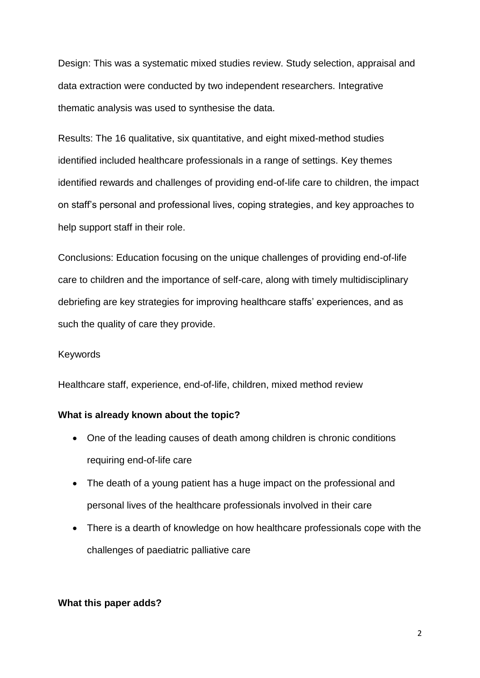Design: This was a systematic mixed studies review. Study selection, appraisal and data extraction were conducted by two independent researchers. Integrative thematic analysis was used to synthesise the data.

Results: The 16 qualitative, six quantitative, and eight mixed-method studies identified included healthcare professionals in a range of settings. Key themes identified rewards and challenges of providing end-of-life care to children, the impact on staff's personal and professional lives, coping strategies, and key approaches to help support staff in their role.

Conclusions: Education focusing on the unique challenges of providing end-of-life care to children and the importance of self-care, along with timely multidisciplinary debriefing are key strategies for improving healthcare staffs' experiences, and as such the quality of care they provide.

## Keywords

Healthcare staff, experience, end-of-life, children, mixed method review

#### **What is already known about the topic?**

- One of the leading causes of death among children is chronic conditions requiring end-of-life care
- The death of a young patient has a huge impact on the professional and personal lives of the healthcare professionals involved in their care
- There is a dearth of knowledge on how healthcare professionals cope with the challenges of paediatric palliative care

#### **What this paper adds?**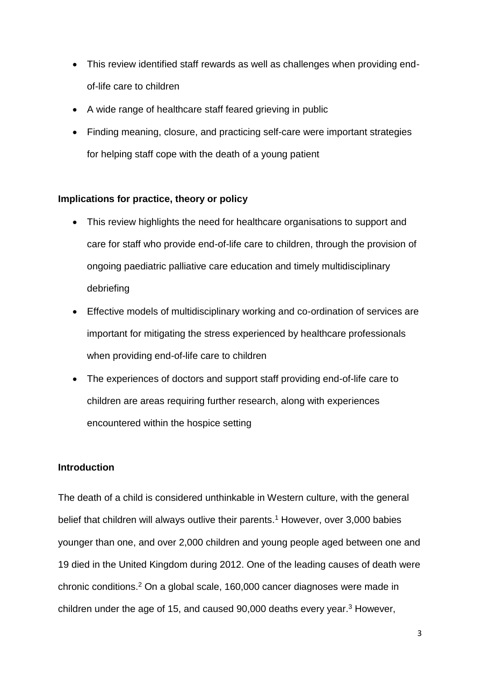- This review identified staff rewards as well as challenges when providing endof-life care to children
- A wide range of healthcare staff feared grieving in public
- Finding meaning, closure, and practicing self-care were important strategies for helping staff cope with the death of a young patient

# **Implications for practice, theory or policy**

- This review highlights the need for healthcare organisations to support and care for staff who provide end-of-life care to children, through the provision of ongoing paediatric palliative care education and timely multidisciplinary debriefing
- Effective models of multidisciplinary working and co-ordination of services are important for mitigating the stress experienced by healthcare professionals when providing end-of-life care to children
- The experiences of doctors and support staff providing end-of-life care to children are areas requiring further research, along with experiences encountered within the hospice setting

## **Introduction**

The death of a child is considered unthinkable in Western culture, with the general belief that children will always outlive their parents. <sup>1</sup> However, over 3,000 babies younger than one, and over 2,000 children and young people aged between one and 19 died in the United Kingdom during 2012. One of the leading causes of death were chronic conditions.<sup>2</sup> On a global scale, 160,000 cancer diagnoses were made in children under the age of 15, and caused 90,000 deaths every year. <sup>3</sup> However,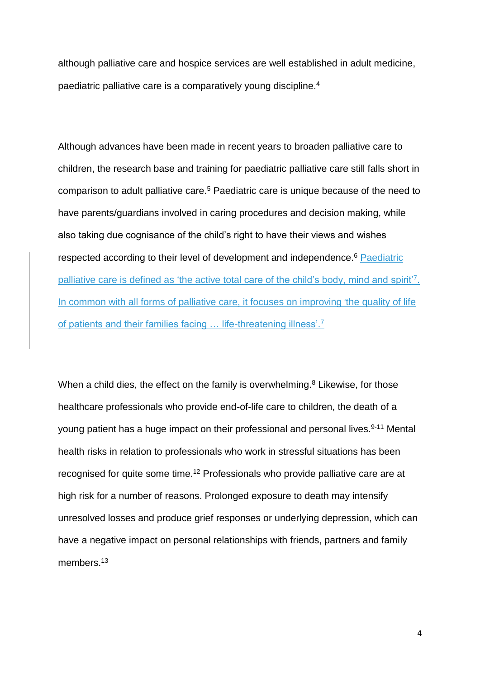although palliative care and hospice services are well established in adult medicine, paediatric palliative care is a comparatively young discipline.<sup>4</sup>

Although advances have been made in recent years to broaden palliative care to children, the research base and training for paediatric palliative care still falls short in comparison to adult palliative care. <sup>5</sup> Paediatric care is unique because of the need to have parents/guardians involved in caring procedures and decision making, while also taking due cognisance of the child's right to have their views and wishes respected according to their level of development and independence.<sup>6</sup> Paediatric palliative care is defined as 'the active total care of the child's body, mind and spirit<sup>'7</sup>. In common with all forms of palliative care, it focuses on improving the quality of life of patients and their families facing ... life-threatening illness'.<sup>7</sup>

When a child dies, the effect on the family is overwhelming.<sup>8</sup> Likewise, for those healthcare professionals who provide end-of-life care to children, the death of a young patient has a huge impact on their professional and personal lives.<sup>9-11</sup> Mental health risks in relation to professionals who work in stressful situations has been recognised for quite some time. <sup>12</sup> Professionals who provide palliative care are at high risk for a number of reasons. Prolonged exposure to death may intensify unresolved losses and produce grief responses or underlying depression, which can have a negative impact on personal relationships with friends, partners and family members.<sup>13</sup>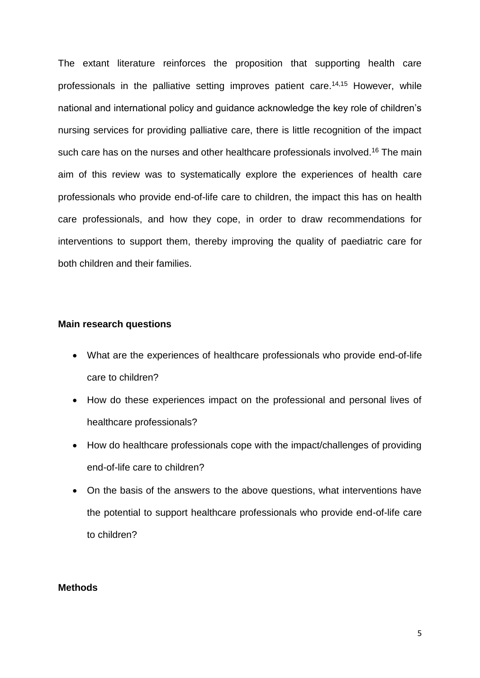The extant literature reinforces the proposition that supporting health care professionals in the palliative setting improves patient care. 14,15 However, while national and international policy and guidance acknowledge the key role of children's nursing services for providing palliative care, there is little recognition of the impact such care has on the nurses and other healthcare professionals involved.<sup>16</sup> The main aim of this review was to systematically explore the experiences of health care professionals who provide end-of-life care to children, the impact this has on health care professionals, and how they cope, in order to draw recommendations for interventions to support them, thereby improving the quality of paediatric care for both children and their families.

## **Main research questions**

- What are the experiences of healthcare professionals who provide end-of-life care to children?
- How do these experiences impact on the professional and personal lives of healthcare professionals?
- How do healthcare professionals cope with the impact/challenges of providing end-of-life care to children?
- On the basis of the answers to the above questions, what interventions have the potential to support healthcare professionals who provide end-of-life care to children?

## **Methods**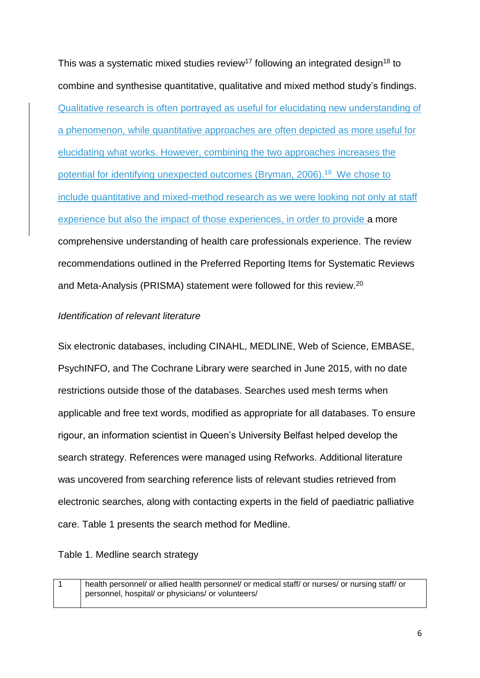This was a systematic mixed studies review<sup>17</sup> following an integrated design<sup>18</sup> to combine and synthesise quantitative, qualitative and mixed method study's findings. Qualitative research is often portrayed as useful for elucidating new understanding of a phenomenon, while quantitative approaches are often depicted as more useful for elucidating what works. However, combining the two approaches increases the potential for identifying unexpected outcomes (Bryman, 2006).<sup>19</sup> We chose to include quantitative and mixed-method research as we were looking not only at staff experience but also the impact of those experiences, in order to provide a more comprehensive understanding of health care professionals experience. The review recommendations outlined in the Preferred Reporting Items for Systematic Reviews and Meta-Analysis (PRISMA) statement were followed for this review. 20

# *Identification of relevant literature*

Six electronic databases, including CINAHL, MEDLINE, Web of Science, EMBASE, PsychINFO, and The Cochrane Library were searched in June 2015, with no date restrictions outside those of the databases. Searches used mesh terms when applicable and free text words, modified as appropriate for all databases. To ensure rigour, an information scientist in Queen's University Belfast helped develop the search strategy. References were managed using Refworks. Additional literature was uncovered from searching reference lists of relevant studies retrieved from electronic searches, along with contacting experts in the field of paediatric palliative care. Table 1 presents the search method for Medline.

Table 1. Medline search strategy

1 health personnel/ or allied health personnel/ or medical staff/ or nurses/ or nursing staff/ or personnel, hospital/ or physicians/ or volunteers/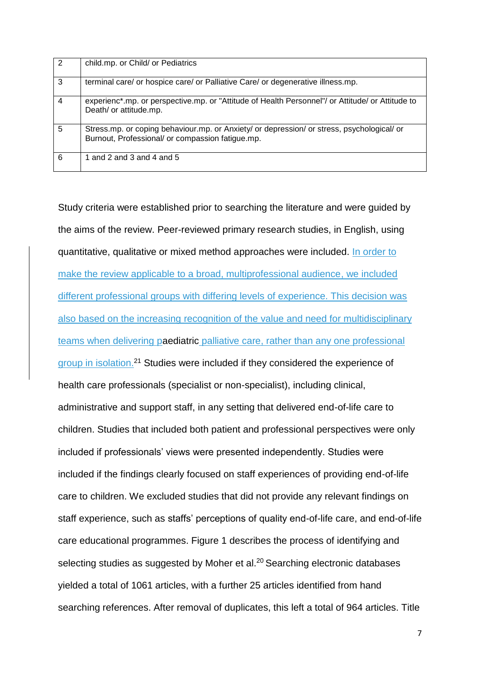| $\sqrt{2}$     | child.mp. or Child/ or Pediatrics                                                                                                              |
|----------------|------------------------------------------------------------------------------------------------------------------------------------------------|
| 3              | terminal care/ or hospice care/ or Palliative Care/ or degenerative illness.mp.                                                                |
| $\overline{4}$ | experienc*.mp. or perspective.mp. or "Attitude of Health Personnel"/ or Attitude/ or Attitude to<br>Death/ or attitude.mp.                     |
| $\overline{5}$ | Stress.mp. or coping behaviour.mp. or Anxiety/ or depression/ or stress, psychological/ or<br>Burnout, Professional/ or compassion fatigue.mp. |
| 6              | 1 and 2 and 3 and 4 and 5                                                                                                                      |

Study criteria were established prior to searching the literature and were guided by the aims of the review. Peer-reviewed primary research studies, in English, using quantitative, qualitative or mixed method approaches were included. In order to make the review applicable to a broad, multiprofessional audience, we included different professional groups with differing levels of experience. This decision was also based on the increasing recognition of the value and need for multidisciplinary teams when delivering paediatric palliative care, rather than any one professional group in isolation.<sup>21</sup> Studies were included if they considered the experience of health care professionals (specialist or non-specialist), including clinical, administrative and support staff, in any setting that delivered end-of-life care to children. Studies that included both patient and professional perspectives were only included if professionals' views were presented independently. Studies were included if the findings clearly focused on staff experiences of providing end-of-life care to children. We excluded studies that did not provide any relevant findings on staff experience, such as staffs' perceptions of quality end-of-life care, and end-of-life care educational programmes. Figure 1 describes the process of identifying and selecting studies as suggested by Moher et al.<sup>20</sup> Searching electronic databases yielded a total of 1061 articles, with a further 25 articles identified from hand searching references. After removal of duplicates, this left a total of 964 articles. Title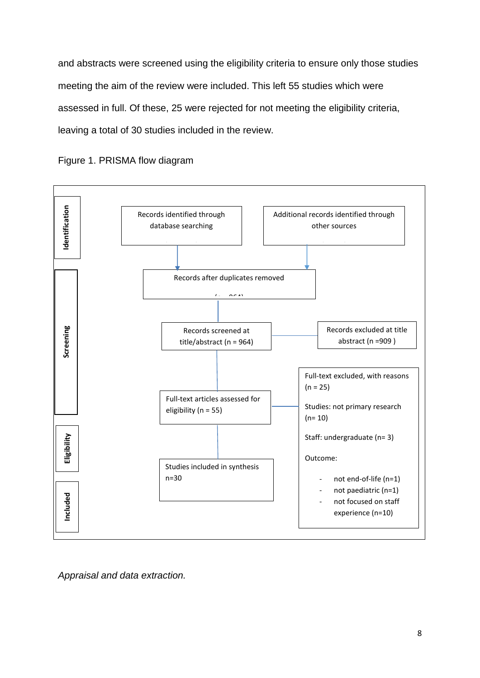and abstracts were screened using the eligibility criteria to ensure only those studies meeting the aim of the review were included. This left 55 studies which were assessed in full. Of these, 25 were rejected for not meeting the eligibility criteria, leaving a total of 30 studies included in the review.



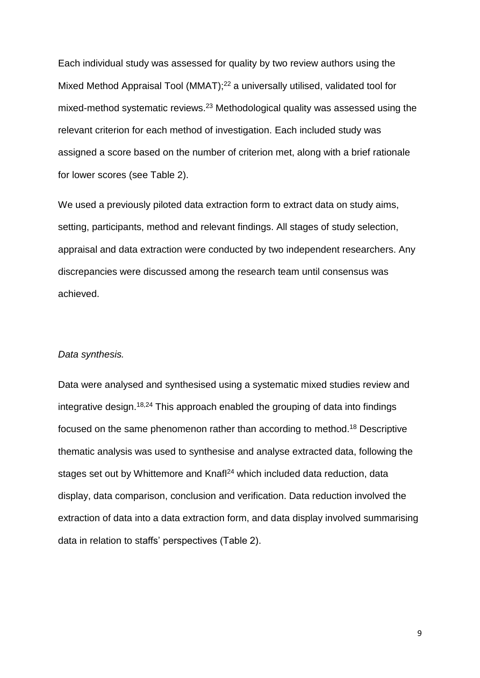Each individual study was assessed for quality by two review authors using the Mixed Method Appraisal Tool (MMAT); <sup>22</sup> a universally utilised, validated tool for mixed-method systematic reviews.<sup>23</sup> Methodological quality was assessed using the relevant criterion for each method of investigation. Each included study was assigned a score based on the number of criterion met, along with a brief rationale for lower scores (see Table 2).

We used a previously piloted data extraction form to extract data on study aims, setting, participants, method and relevant findings. All stages of study selection, appraisal and data extraction were conducted by two independent researchers. Any discrepancies were discussed among the research team until consensus was achieved.

#### *Data synthesis.*

Data were analysed and synthesised using a systematic mixed studies review and integrative design. 18,24 This approach enabled the grouping of data into findings focused on the same phenomenon rather than according to method. <sup>18</sup> Descriptive thematic analysis was used to synthesise and analyse extracted data, following the stages set out by Whittemore and Knafl<sup>24</sup> which included data reduction, data display, data comparison, conclusion and verification. Data reduction involved the extraction of data into a data extraction form, and data display involved summarising data in relation to staffs' perspectives (Table 2).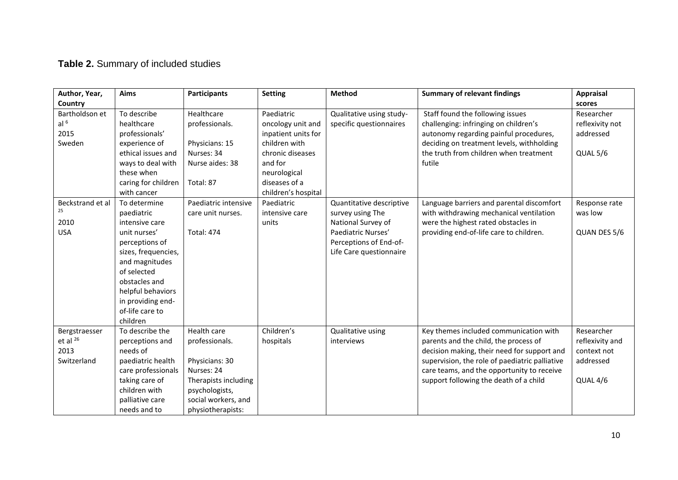# **Table 2.** Summary of included studies

| Author, Year,                                         | <b>Aims</b>                                                                                                                                                                                                                      | <b>Participants</b>                                                                                                                                 | <b>Setting</b>                                                                                                                                                 | <b>Method</b>                                                                                                                                 | <b>Summary of relevant findings</b>                                                                                                                                                                                                                                      | Appraisal                                                             |
|-------------------------------------------------------|----------------------------------------------------------------------------------------------------------------------------------------------------------------------------------------------------------------------------------|-----------------------------------------------------------------------------------------------------------------------------------------------------|----------------------------------------------------------------------------------------------------------------------------------------------------------------|-----------------------------------------------------------------------------------------------------------------------------------------------|--------------------------------------------------------------------------------------------------------------------------------------------------------------------------------------------------------------------------------------------------------------------------|-----------------------------------------------------------------------|
| Country                                               |                                                                                                                                                                                                                                  |                                                                                                                                                     |                                                                                                                                                                |                                                                                                                                               |                                                                                                                                                                                                                                                                          | scores                                                                |
| Bartholdson et<br>al $6$<br>2015<br>Sweden            | To describe<br>healthcare<br>professionals'<br>experience of<br>ethical issues and<br>ways to deal with<br>these when<br>caring for children<br>with cancer                                                                      | Healthcare<br>professionals.<br>Physicians: 15<br>Nurses: 34<br>Nurse aides: 38<br>Total: 87                                                        | Paediatric<br>oncology unit and<br>inpatient units for<br>children with<br>chronic diseases<br>and for<br>neurological<br>diseases of a<br>children's hospital | Qualitative using study-<br>specific questionnaires                                                                                           | Staff found the following issues<br>challenging: infringing on children's<br>autonomy regarding painful procedures,<br>deciding on treatment levels, withholding<br>the truth from children when treatment<br>futile                                                     | Researcher<br>reflexivity not<br>addressed<br>QUAL 5/6                |
| Beckstrand et al<br>25<br>2010<br><b>USA</b>          | To determine<br>paediatric<br>intensive care<br>unit nurses'<br>perceptions of<br>sizes, frequencies,<br>and magnitudes<br>of selected<br>obstacles and<br>helpful behaviors<br>in providing end-<br>of-life care to<br>children | Paediatric intensive<br>care unit nurses.<br><b>Total: 474</b>                                                                                      | Paediatric<br>intensive care<br>units                                                                                                                          | Quantitative descriptive<br>survey using The<br>National Survey of<br>Paediatric Nurses'<br>Perceptions of End-of-<br>Life Care questionnaire | Language barriers and parental discomfort<br>with withdrawing mechanical ventilation<br>were the highest rated obstacles in<br>providing end-of-life care to children.                                                                                                   | Response rate<br>was low<br>QUAN DES 5/6                              |
| Bergstraesser<br>et al $^{26}$<br>2013<br>Switzerland | To describe the<br>perceptions and<br>needs of<br>paediatric health<br>care professionals<br>taking care of<br>children with<br>palliative care<br>needs and to                                                                  | Health care<br>professionals.<br>Physicians: 30<br>Nurses: 24<br>Therapists including<br>psychologists,<br>social workers, and<br>physiotherapists: | Children's<br>hospitals                                                                                                                                        | Qualitative using<br>interviews                                                                                                               | Key themes included communication with<br>parents and the child, the process of<br>decision making, their need for support and<br>supervision, the role of paediatric palliative<br>care teams, and the opportunity to receive<br>support following the death of a child | Researcher<br>reflexivity and<br>context not<br>addressed<br>QUAL 4/6 |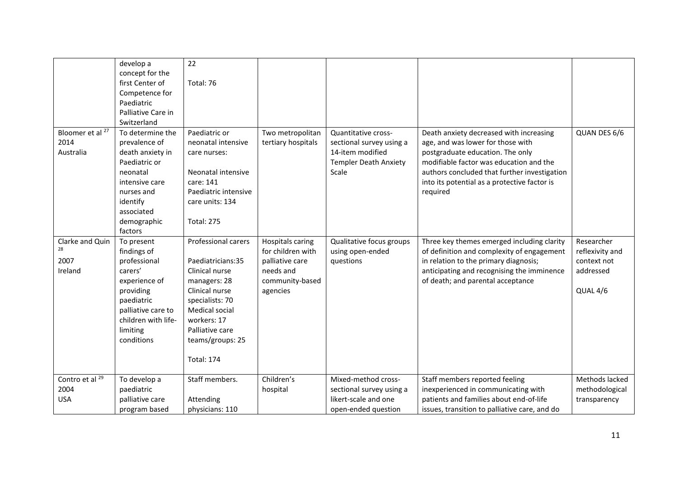|                             | develop a<br>concept for the | 22                   |                         |                              |                                               |                 |
|-----------------------------|------------------------------|----------------------|-------------------------|------------------------------|-----------------------------------------------|-----------------|
|                             | first Center of              | Total: 76            |                         |                              |                                               |                 |
|                             | Competence for               |                      |                         |                              |                                               |                 |
|                             | Paediatric                   |                      |                         |                              |                                               |                 |
|                             | Palliative Care in           |                      |                         |                              |                                               |                 |
|                             | Switzerland                  |                      |                         |                              |                                               |                 |
| Bloomer et al <sup>27</sup> | To determine the             | Paediatric or        | Two metropolitan        | Quantitative cross-          | Death anxiety decreased with increasing       | QUAN DES 6/6    |
| 2014                        | prevalence of                | neonatal intensive   | tertiary hospitals      | sectional survey using a     | age, and was lower for those with             |                 |
| Australia                   | death anxiety in             | care nurses:         |                         | 14-item modified             | postgraduate education. The only              |                 |
|                             | Paediatric or                |                      |                         | <b>Templer Death Anxiety</b> | modifiable factor was education and the       |                 |
|                             | neonatal                     | Neonatal intensive   |                         | Scale                        | authors concluded that further investigation  |                 |
|                             | intensive care               | care: 141            |                         |                              | into its potential as a protective factor is  |                 |
|                             | nurses and                   | Paediatric intensive |                         |                              | required                                      |                 |
|                             | identify                     | care units: 134      |                         |                              |                                               |                 |
|                             | associated                   |                      |                         |                              |                                               |                 |
|                             | demographic                  | <b>Total: 275</b>    |                         |                              |                                               |                 |
|                             | factors                      |                      |                         |                              |                                               |                 |
| Clarke and Quin             | To present                   | Professional carers  | <b>Hospitals caring</b> | Qualitative focus groups     | Three key themes emerged including clarity    | Researcher      |
| 28                          | findings of                  |                      | for children with       | using open-ended             | of definition and complexity of engagement    | reflexivity and |
| 2007                        | professional                 | Paediatricians:35    | palliative care         | questions                    | in relation to the primary diagnosis;         | context not     |
| Ireland                     | carers'                      | Clinical nurse       | needs and               |                              | anticipating and recognising the imminence    | addressed       |
|                             | experience of                | managers: 28         | community-based         |                              | of death; and parental acceptance             |                 |
|                             | providing                    | Clinical nurse       | agencies                |                              |                                               | QUAL 4/6        |
|                             | paediatric                   | specialists: 70      |                         |                              |                                               |                 |
|                             | palliative care to           | Medical social       |                         |                              |                                               |                 |
|                             | children with life-          | workers: 17          |                         |                              |                                               |                 |
|                             | limiting                     | Palliative care      |                         |                              |                                               |                 |
|                             | conditions                   | teams/groups: 25     |                         |                              |                                               |                 |
|                             |                              |                      |                         |                              |                                               |                 |
|                             |                              | <b>Total: 174</b>    |                         |                              |                                               |                 |
| Contro et al <sup>29</sup>  | To develop a                 | Staff members.       | Children's              | Mixed-method cross-          | Staff members reported feeling                | Methods lacked  |
| 2004                        | paediatric                   |                      | hospital                | sectional survey using a     | inexperienced in communicating with           | methodological  |
| <b>USA</b>                  | palliative care              | Attending            |                         | likert-scale and one         | patients and families about end-of-life       | transparency    |
|                             | program based                | physicians: 110      |                         | open-ended question          | issues, transition to palliative care, and do |                 |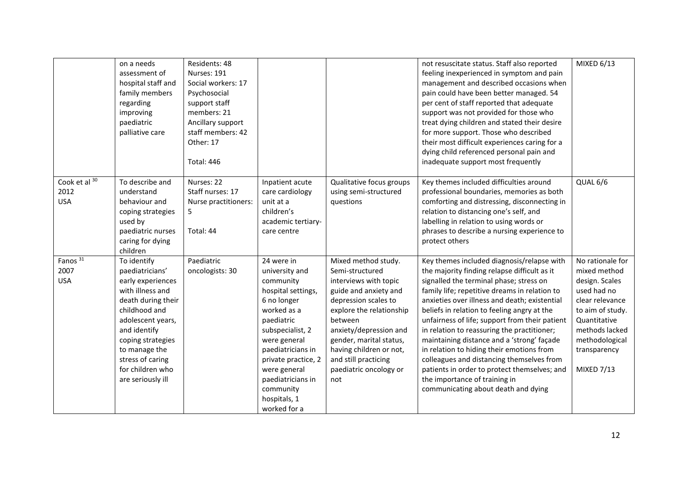|                                           | on a needs<br>assessment of<br>hospital staff and<br>family members<br>regarding<br>improving<br>paediatric<br>palliative care                                                                                                                         | Residents: 48<br>Nurses: 191<br>Social workers: 17<br>Psychosocial<br>support staff<br>members: 21<br>Ancillary support<br>staff members: 42<br>Other: 17<br><b>Total: 446</b> |                                                                                                                                                                                                                                                                               |                                                                                                                                                                                                                                                                                                  | not resuscitate status. Staff also reported<br>feeling inexperienced in symptom and pain<br>management and described occasions when<br>pain could have been better managed. 54<br>per cent of staff reported that adequate<br>support was not provided for those who<br>treat dying children and stated their desire<br>for more support. Those who described<br>their most difficult experiences caring for a<br>dying child referenced personal pain and<br>inadequate support most frequently                                                                                                                                                        | MIXED 6/13                                                                                                                                                                                        |
|-------------------------------------------|--------------------------------------------------------------------------------------------------------------------------------------------------------------------------------------------------------------------------------------------------------|--------------------------------------------------------------------------------------------------------------------------------------------------------------------------------|-------------------------------------------------------------------------------------------------------------------------------------------------------------------------------------------------------------------------------------------------------------------------------|--------------------------------------------------------------------------------------------------------------------------------------------------------------------------------------------------------------------------------------------------------------------------------------------------|---------------------------------------------------------------------------------------------------------------------------------------------------------------------------------------------------------------------------------------------------------------------------------------------------------------------------------------------------------------------------------------------------------------------------------------------------------------------------------------------------------------------------------------------------------------------------------------------------------------------------------------------------------|---------------------------------------------------------------------------------------------------------------------------------------------------------------------------------------------------|
| Cook et al 30<br>2012<br><b>USA</b>       | To describe and<br>understand<br>behaviour and<br>coping strategies<br>used by<br>paediatric nurses<br>caring for dying<br>children                                                                                                                    | Nurses: 22<br>Staff nurses: 17<br>Nurse practitioners:<br>5<br>Total: 44                                                                                                       | Inpatient acute<br>care cardiology<br>unit at a<br>children's<br>academic tertiary-<br>care centre                                                                                                                                                                            | Qualitative focus groups<br>using semi-structured<br>questions                                                                                                                                                                                                                                   | Key themes included difficulties around<br>professional boundaries, memories as both<br>comforting and distressing, disconnecting in<br>relation to distancing one's self, and<br>labelling in relation to using words or<br>phrases to describe a nursing experience to<br>protect others                                                                                                                                                                                                                                                                                                                                                              | QUAL 6/6                                                                                                                                                                                          |
| Fanos <sup>31</sup><br>2007<br><b>USA</b> | To identify<br>paediatricians'<br>early experiences<br>with illness and<br>death during their<br>childhood and<br>adolescent years,<br>and identify<br>coping strategies<br>to manage the<br>stress of caring<br>for children who<br>are seriously ill | Paediatric<br>oncologists: 30                                                                                                                                                  | 24 were in<br>university and<br>community<br>hospital settings,<br>6 no longer<br>worked as a<br>paediatric<br>subspecialist, 2<br>were general<br>paediatricians in<br>private practice, 2<br>were general<br>paediatricians in<br>community<br>hospitals, 1<br>worked for a | Mixed method study.<br>Semi-structured<br>interviews with topic<br>guide and anxiety and<br>depression scales to<br>explore the relationship<br>between<br>anxiety/depression and<br>gender, marital status,<br>having children or not,<br>and still practicing<br>paediatric oncology or<br>not | Key themes included diagnosis/relapse with<br>the majority finding relapse difficult as it<br>signalled the terminal phase; stress on<br>family life; repetitive dreams in relation to<br>anxieties over illness and death; existential<br>beliefs in relation to feeling angry at the<br>unfairness of life; support from their patient<br>in relation to reassuring the practitioner;<br>maintaining distance and a 'strong' façade<br>in relation to hiding their emotions from<br>colleagues and distancing themselves from<br>patients in order to protect themselves; and<br>the importance of training in<br>communicating about death and dying | No rationale for<br>mixed method<br>design. Scales<br>used had no<br>clear relevance<br>to aim of study.<br>Quantitative<br>methods lacked<br>methodological<br>transparency<br><b>MIXED 7/13</b> |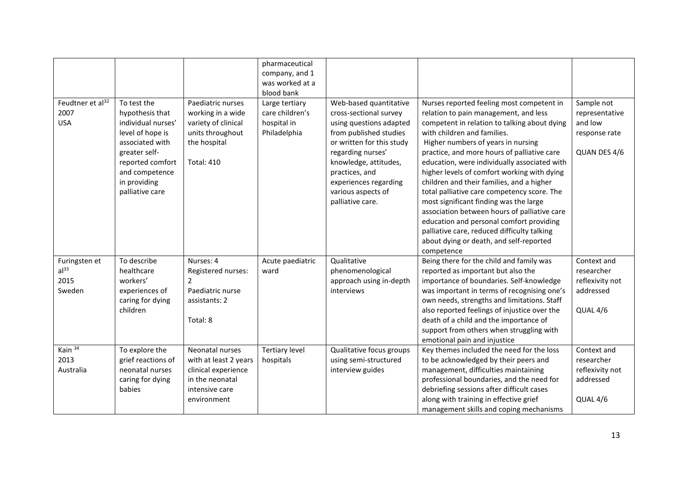|                                                     |                                                                                                                                                                                       |                                                                                                                        | pharmaceutical<br>company, and 1<br>was worked at a<br>blood bank |                                                                                                                                                                                                                                                                       |                                                                                                                                                                                                                                                                                                                                                                                                                                                                                                                                                                                                                                                                                                 |                                                                          |
|-----------------------------------------------------|---------------------------------------------------------------------------------------------------------------------------------------------------------------------------------------|------------------------------------------------------------------------------------------------------------------------|-------------------------------------------------------------------|-----------------------------------------------------------------------------------------------------------------------------------------------------------------------------------------------------------------------------------------------------------------------|-------------------------------------------------------------------------------------------------------------------------------------------------------------------------------------------------------------------------------------------------------------------------------------------------------------------------------------------------------------------------------------------------------------------------------------------------------------------------------------------------------------------------------------------------------------------------------------------------------------------------------------------------------------------------------------------------|--------------------------------------------------------------------------|
| Feudtner et al <sup>32</sup><br>2007<br><b>USA</b>  | To test the<br>hypothesis that<br>individual nurses'<br>level of hope is<br>associated with<br>greater self-<br>reported comfort<br>and competence<br>in providing<br>palliative care | Paediatric nurses<br>working in a wide<br>variety of clinical<br>units throughout<br>the hospital<br><b>Total: 410</b> | Large tertiary<br>care children's<br>hospital in<br>Philadelphia  | Web-based quantitative<br>cross-sectional survey<br>using questions adapted<br>from published studies<br>or written for this study<br>regarding nurses'<br>knowledge, attitudes,<br>practices, and<br>experiences regarding<br>various aspects of<br>palliative care. | Nurses reported feeling most competent in<br>relation to pain management, and less<br>competent in relation to talking about dying<br>with children and families.<br>Higher numbers of years in nursing<br>practice, and more hours of palliative care<br>education, were individually associated with<br>higher levels of comfort working with dying<br>children and their families, and a higher<br>total palliative care competency score. The<br>most significant finding was the large<br>association between hours of palliative care<br>education and personal comfort providing<br>palliative care, reduced difficulty talking<br>about dying or death, and self-reported<br>competence | Sample not<br>representative<br>and low<br>response rate<br>QUAN DES 4/6 |
| Furingsten et<br>al <sup>33</sup><br>2015<br>Sweden | To describe<br>healthcare<br>workers'<br>experiences of<br>caring for dying<br>children                                                                                               | Nurses: 4<br>Registered nurses:<br>$\overline{2}$<br>Paediatric nurse<br>assistants: 2<br>Total: 8                     | Acute paediatric<br>ward                                          | Qualitative<br>phenomenological<br>approach using in-depth<br>interviews                                                                                                                                                                                              | Being there for the child and family was<br>reported as important but also the<br>importance of boundaries. Self-knowledge<br>was important in terms of recognising one's<br>own needs, strengths and limitations. Staff<br>also reported feelings of injustice over the<br>death of a child and the importance of<br>support from others when struggling with<br>emotional pain and injustice                                                                                                                                                                                                                                                                                                  | Context and<br>researcher<br>reflexivity not<br>addressed<br>QUAL 4/6    |
| Kain <sup>34</sup><br>2013<br>Australia             | To explore the<br>grief reactions of<br>neonatal nurses<br>caring for dying<br>babies                                                                                                 | Neonatal nurses<br>with at least 2 years<br>clinical experience<br>in the neonatal<br>intensive care<br>environment    | <b>Tertiary level</b><br>hospitals                                | Qualitative focus groups<br>using semi-structured<br>interview guides                                                                                                                                                                                                 | Key themes included the need for the loss<br>to be acknowledged by their peers and<br>management, difficulties maintaining<br>professional boundaries, and the need for<br>debriefing sessions after difficult cases<br>along with training in effective grief<br>management skills and coping mechanisms                                                                                                                                                                                                                                                                                                                                                                                       | Context and<br>researcher<br>reflexivity not<br>addressed<br>QUAL 4/6    |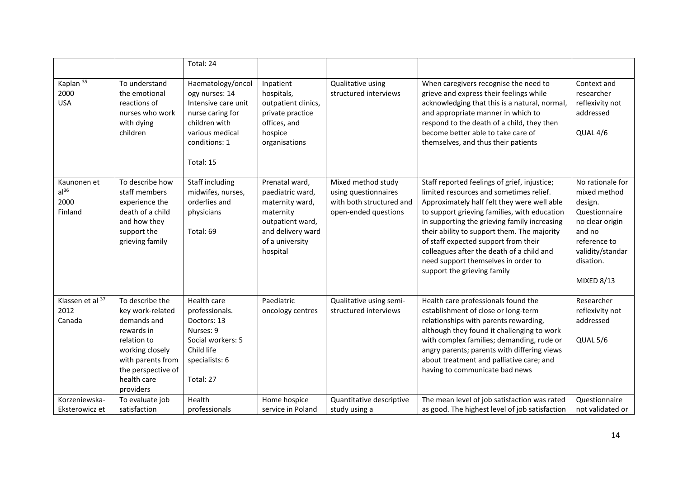|                                                    |                                                                                                                                                                           | Total: 24                                                                                                                                        |                                                                                                                                            |                                                                                                |                                                                                                                                                                                                                                                                                                                                                                                                                                                  |                                                                                                                                                                 |
|----------------------------------------------------|---------------------------------------------------------------------------------------------------------------------------------------------------------------------------|--------------------------------------------------------------------------------------------------------------------------------------------------|--------------------------------------------------------------------------------------------------------------------------------------------|------------------------------------------------------------------------------------------------|--------------------------------------------------------------------------------------------------------------------------------------------------------------------------------------------------------------------------------------------------------------------------------------------------------------------------------------------------------------------------------------------------------------------------------------------------|-----------------------------------------------------------------------------------------------------------------------------------------------------------------|
| Kaplan <sup>35</sup><br>2000<br><b>USA</b>         | To understand<br>the emotional<br>reactions of<br>nurses who work<br>with dying<br>children                                                                               | Haematology/oncol<br>ogy nurses: 14<br>Intensive care unit<br>nurse caring for<br>children with<br>various medical<br>conditions: 1<br>Total: 15 | Inpatient<br>hospitals,<br>outpatient clinics,<br>private practice<br>offices, and<br>hospice<br>organisations                             | Qualitative using<br>structured interviews                                                     | When caregivers recognise the need to<br>grieve and express their feelings while<br>acknowledging that this is a natural, normal,<br>and appropriate manner in which to<br>respond to the death of a child, they then<br>become better able to take care of<br>themselves, and thus their patients                                                                                                                                               | Context and<br>researcher<br>reflexivity not<br>addressed<br>QUAL 4/6                                                                                           |
| Kaunonen et<br>al <sup>36</sup><br>2000<br>Finland | To describe how<br>staff members<br>experience the<br>death of a child<br>and how they<br>support the<br>grieving family                                                  | Staff including<br>midwifes, nurses,<br>orderlies and<br>physicians<br>Total: 69                                                                 | Prenatal ward,<br>paediatric ward,<br>maternity ward,<br>maternity<br>outpatient ward,<br>and delivery ward<br>of a university<br>hospital | Mixed method study<br>using questionnaires<br>with both structured and<br>open-ended questions | Staff reported feelings of grief, injustice;<br>limited resources and sometimes relief.<br>Approximately half felt they were well able<br>to support grieving families, with education<br>in supporting the grieving family increasing<br>their ability to support them. The majority<br>of staff expected support from their<br>colleagues after the death of a child and<br>need support themselves in order to<br>support the grieving family | No rationale for<br>mixed method<br>design.<br>Questionnaire<br>no clear origin<br>and no<br>reference to<br>validity/standar<br>disation.<br><b>MIXED 8/13</b> |
| Klassen et al 37<br>2012<br>Canada                 | To describe the<br>key work-related<br>demands and<br>rewards in<br>relation to<br>working closely<br>with parents from<br>the perspective of<br>health care<br>providers | Health care<br>professionals.<br>Doctors: 13<br>Nurses: 9<br>Social workers: 5<br>Child life<br>specialists: 6<br>Total: 27                      | Paediatric<br>oncology centres                                                                                                             | Qualitative using semi-<br>structured interviews                                               | Health care professionals found the<br>establishment of close or long-term<br>relationships with parents rewarding,<br>although they found it challenging to work<br>with complex families; demanding, rude or<br>angry parents; parents with differing views<br>about treatment and palliative care; and<br>having to communicate bad news                                                                                                      | Researcher<br>reflexivity not<br>addressed<br>QUAL 5/6                                                                                                          |
| Korzeniewska-<br>Eksterowicz et                    | To evaluate job<br>satisfaction                                                                                                                                           | Health<br>professionals                                                                                                                          | Home hospice<br>service in Poland                                                                                                          | Quantitative descriptive<br>study using a                                                      | The mean level of job satisfaction was rated<br>as good. The highest level of job satisfaction                                                                                                                                                                                                                                                                                                                                                   | Questionnaire<br>not validated or                                                                                                                               |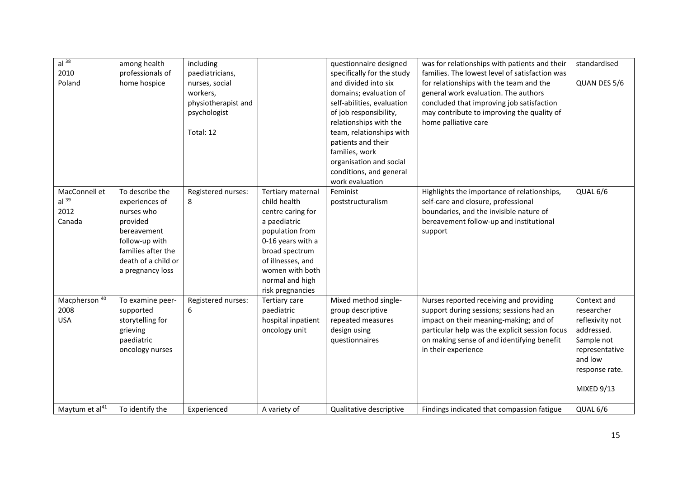| al <sup>38</sup><br>2010<br>Poland                  | among health<br>professionals of<br>home hospice                                                                                                              | including<br>paediatricians,<br>nurses, social<br>workers,<br>physiotherapist and<br>psychologist<br>Total: 12 |                                                                                                                                                                                                                 | questionnaire designed<br>specifically for the study<br>and divided into six<br>domains; evaluation of<br>self-abilities, evaluation<br>of job responsibility,<br>relationships with the<br>team, relationships with<br>patients and their<br>families, work<br>organisation and social<br>conditions, and general<br>work evaluation | was for relationships with patients and their<br>families. The lowest level of satisfaction was<br>for relationships with the team and the<br>general work evaluation. The authors<br>concluded that improving job satisfaction<br>may contribute to improving the quality of<br>home palliative care | standardised<br>QUAN DES 5/6                                                                                                                 |
|-----------------------------------------------------|---------------------------------------------------------------------------------------------------------------------------------------------------------------|----------------------------------------------------------------------------------------------------------------|-----------------------------------------------------------------------------------------------------------------------------------------------------------------------------------------------------------------|---------------------------------------------------------------------------------------------------------------------------------------------------------------------------------------------------------------------------------------------------------------------------------------------------------------------------------------|-------------------------------------------------------------------------------------------------------------------------------------------------------------------------------------------------------------------------------------------------------------------------------------------------------|----------------------------------------------------------------------------------------------------------------------------------------------|
| MacConnell et<br>al <sup>39</sup><br>2012<br>Canada | To describe the<br>experiences of<br>nurses who<br>provided<br>bereavement<br>follow-up with<br>families after the<br>death of a child or<br>a pregnancy loss | Registered nurses:<br>8                                                                                        | Tertiary maternal<br>child health<br>centre caring for<br>a paediatric<br>population from<br>0-16 years with a<br>broad spectrum<br>of illnesses, and<br>women with both<br>normal and high<br>risk pregnancies | Feminist<br>poststructuralism                                                                                                                                                                                                                                                                                                         | Highlights the importance of relationships,<br>self-care and closure, professional<br>boundaries, and the invisible nature of<br>bereavement follow-up and institutional<br>support                                                                                                                   | QUAL 6/6                                                                                                                                     |
| Macpherson <sup>40</sup><br>2008<br><b>USA</b>      | To examine peer-<br>supported<br>storytelling for<br>grieving<br>paediatric<br>oncology nurses                                                                | Registered nurses:<br>6                                                                                        | Tertiary care<br>paediatric<br>hospital inpatient<br>oncology unit                                                                                                                                              | Mixed method single-<br>group descriptive<br>repeated measures<br>design using<br>questionnaires                                                                                                                                                                                                                                      | Nurses reported receiving and providing<br>support during sessions; sessions had an<br>impact on their meaning-making; and of<br>particular help was the explicit session focus<br>on making sense of and identifying benefit<br>in their experience                                                  | Context and<br>researcher<br>reflexivity not<br>addressed.<br>Sample not<br>representative<br>and low<br>response rate.<br><b>MIXED 9/13</b> |
| Maytum et al <sup>41</sup>                          | To identify the                                                                                                                                               | Experienced                                                                                                    | A variety of                                                                                                                                                                                                    | Qualitative descriptive                                                                                                                                                                                                                                                                                                               | Findings indicated that compassion fatigue                                                                                                                                                                                                                                                            | QUAL 6/6                                                                                                                                     |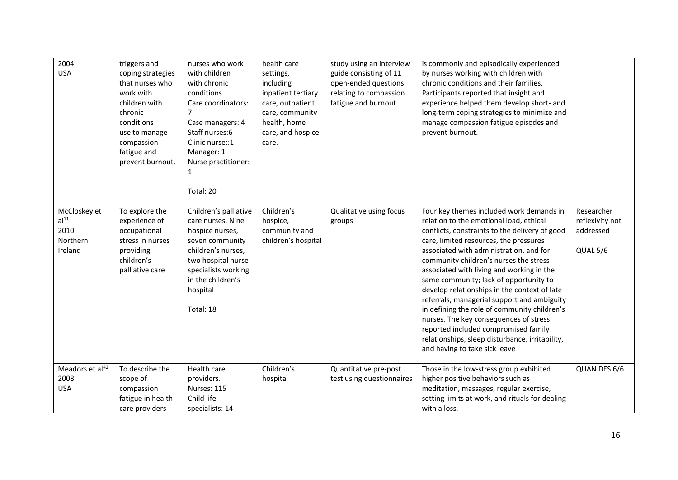| 2004<br><b>USA</b>                                              | triggers and<br>coping strategies<br>that nurses who<br>work with<br>children with<br>chronic<br>conditions<br>use to manage<br>compassion<br>fatigue and<br>prevent burnout. | nurses who work<br>with children<br>with chronic<br>conditions.<br>Care coordinators:<br>$\overline{7}$<br>Case managers: 4<br>Staff nurses:6<br>Clinic nurse::1<br>Manager: 1<br>Nurse practitioner:<br>1     | health care<br>settings,<br>including<br>inpatient tertiary<br>care, outpatient<br>care, community<br>health, home<br>care, and hospice<br>care. | study using an interview<br>guide consisting of 11<br>open-ended questions<br>relating to compassion<br>fatigue and burnout | is commonly and episodically experienced<br>by nurses working with children with<br>chronic conditions and their families.<br>Participants reported that insight and<br>experience helped them develop short- and<br>long-term coping strategies to minimize and<br>manage compassion fatigue episodes and<br>prevent burnout.                                                                                                                                                                                                                                                                                                                                                   |                                                        |
|-----------------------------------------------------------------|-------------------------------------------------------------------------------------------------------------------------------------------------------------------------------|----------------------------------------------------------------------------------------------------------------------------------------------------------------------------------------------------------------|--------------------------------------------------------------------------------------------------------------------------------------------------|-----------------------------------------------------------------------------------------------------------------------------|----------------------------------------------------------------------------------------------------------------------------------------------------------------------------------------------------------------------------------------------------------------------------------------------------------------------------------------------------------------------------------------------------------------------------------------------------------------------------------------------------------------------------------------------------------------------------------------------------------------------------------------------------------------------------------|--------------------------------------------------------|
| McCloskey et<br>al <sup>11</sup><br>2010<br>Northern<br>Ireland | To explore the<br>experience of<br>occupational<br>stress in nurses<br>providing<br>children's<br>palliative care                                                             | Total: 20<br>Children's palliative<br>care nurses. Nine<br>hospice nurses,<br>seven community<br>children's nurses,<br>two hospital nurse<br>specialists working<br>in the children's<br>hospital<br>Total: 18 | Children's<br>hospice,<br>community and<br>children's hospital                                                                                   | Qualitative using focus<br>groups                                                                                           | Four key themes included work demands in<br>relation to the emotional load, ethical<br>conflicts, constraints to the delivery of good<br>care, limited resources, the pressures<br>associated with administration, and for<br>community children's nurses the stress<br>associated with living and working in the<br>same community; lack of opportunity to<br>develop relationships in the context of late<br>referrals; managerial support and ambiguity<br>in defining the role of community children's<br>nurses. The key consequences of stress<br>reported included compromised family<br>relationships, sleep disturbance, irritability,<br>and having to take sick leave | Researcher<br>reflexivity not<br>addressed<br>QUAL 5/6 |
| Meadors et al <sup>42</sup><br>2008<br><b>USA</b>               | To describe the<br>scope of<br>compassion<br>fatigue in health<br>care providers                                                                                              | Health care<br>providers.<br>Nurses: 115<br>Child life<br>specialists: 14                                                                                                                                      | Children's<br>hospital                                                                                                                           | Quantitative pre-post<br>test using questionnaires                                                                          | Those in the low-stress group exhibited<br>higher positive behaviors such as<br>meditation, massages, regular exercise,<br>setting limits at work, and rituals for dealing<br>with a loss.                                                                                                                                                                                                                                                                                                                                                                                                                                                                                       | QUAN DES 6/6                                           |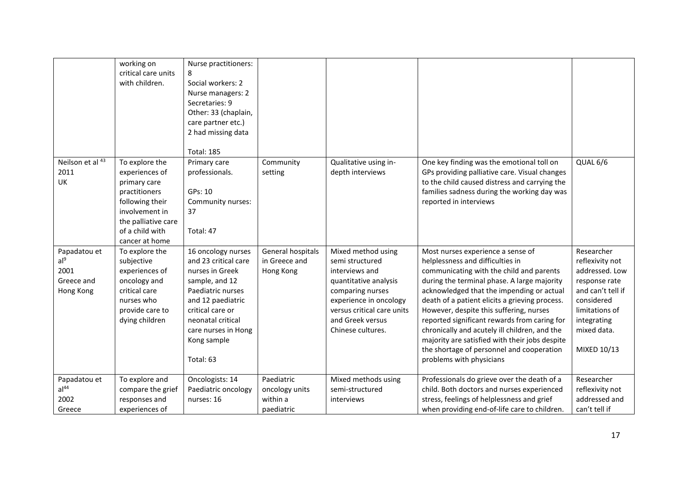|                                                                    | working on<br>critical care units<br>with children.                                                                                                                | Nurse practitioners:<br>8<br>Social workers: 2<br>Nurse managers: 2<br>Secretaries: 9<br>Other: 33 (chaplain,<br>care partner etc.)<br>2 had missing data<br><b>Total: 185</b>                                        |                                                        |                                                                                                                                                                                                       |                                                                                                                                                                                                                                                                                                                                                                                                                                                                                                                                        |                                                                                                                                                                    |
|--------------------------------------------------------------------|--------------------------------------------------------------------------------------------------------------------------------------------------------------------|-----------------------------------------------------------------------------------------------------------------------------------------------------------------------------------------------------------------------|--------------------------------------------------------|-------------------------------------------------------------------------------------------------------------------------------------------------------------------------------------------------------|----------------------------------------------------------------------------------------------------------------------------------------------------------------------------------------------------------------------------------------------------------------------------------------------------------------------------------------------------------------------------------------------------------------------------------------------------------------------------------------------------------------------------------------|--------------------------------------------------------------------------------------------------------------------------------------------------------------------|
| Neilson et al 43<br>2011<br>UK                                     | To explore the<br>experiences of<br>primary care<br>practitioners<br>following their<br>involvement in<br>the palliative care<br>of a child with<br>cancer at home | Primary care<br>professionals.<br>GPs: 10<br>Community nurses:<br>37<br>Total: 47                                                                                                                                     | Community<br>setting                                   | Qualitative using in-<br>depth interviews                                                                                                                                                             | One key finding was the emotional toll on<br>GPs providing palliative care. Visual changes<br>to the child caused distress and carrying the<br>families sadness during the working day was<br>reported in interviews                                                                                                                                                                                                                                                                                                                   | QUAL 6/6                                                                                                                                                           |
| Papadatou et<br>al <sup>9</sup><br>2001<br>Greece and<br>Hong Kong | To explore the<br>subjective<br>experiences of<br>oncology and<br>critical care<br>nurses who<br>provide care to<br>dying children                                 | 16 oncology nurses<br>and 23 critical care<br>nurses in Greek<br>sample, and 12<br>Paediatric nurses<br>and 12 paediatric<br>critical care or<br>neonatal critical<br>care nurses in Hong<br>Kong sample<br>Total: 63 | General hospitals<br>in Greece and<br>Hong Kong        | Mixed method using<br>semi structured<br>interviews and<br>quantitative analysis<br>comparing nurses<br>experience in oncology<br>versus critical care units<br>and Greek versus<br>Chinese cultures. | Most nurses experience a sense of<br>helplessness and difficulties in<br>communicating with the child and parents<br>during the terminal phase. A large majority<br>acknowledged that the impending or actual<br>death of a patient elicits a grieving process.<br>However, despite this suffering, nurses<br>reported significant rewards from caring for<br>chronically and acutely ill children, and the<br>majority are satisfied with their jobs despite<br>the shortage of personnel and cooperation<br>problems with physicians | Researcher<br>reflexivity not<br>addressed. Low<br>response rate<br>and can't tell if<br>considered<br>limitations of<br>integrating<br>mixed data.<br>MIXED 10/13 |
| Papadatou et<br>al <sup>44</sup><br>2002<br>Greece                 | To explore and<br>compare the grief<br>responses and<br>experiences of                                                                                             | Oncologists: 14<br>Paediatric oncology<br>nurses: 16                                                                                                                                                                  | Paediatric<br>oncology units<br>within a<br>paediatric | Mixed methods using<br>semi-structured<br>interviews                                                                                                                                                  | Professionals do grieve over the death of a<br>child. Both doctors and nurses experienced<br>stress, feelings of helplessness and grief<br>when providing end-of-life care to children.                                                                                                                                                                                                                                                                                                                                                | Researcher<br>reflexivity not<br>addressed and<br>can't tell if                                                                                                    |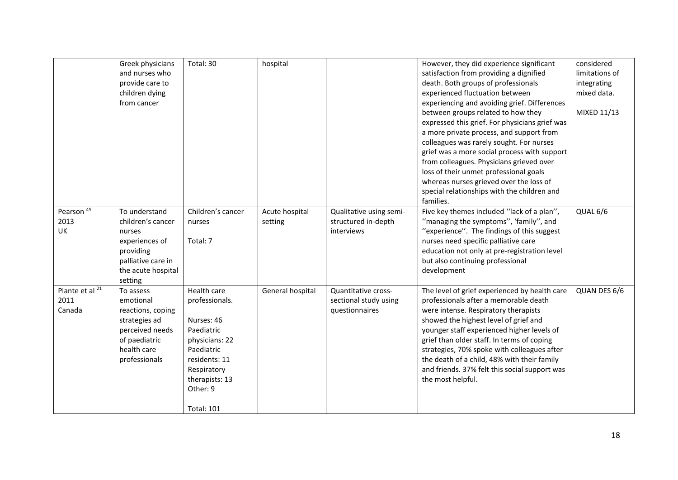|                                              | Greek physicians<br>and nurses who<br>provide care to<br>children dying<br>from cancer                                             | Total: 30                                                                                                                                                                    | hospital                  |                                                                | However, they did experience significant<br>satisfaction from providing a dignified<br>death. Both groups of professionals<br>experienced fluctuation between<br>experiencing and avoiding grief. Differences<br>between groups related to how they<br>expressed this grief. For physicians grief was<br>a more private process, and support from<br>colleagues was rarely sought. For nurses<br>grief was a more social process with support<br>from colleagues. Physicians grieved over<br>loss of their unmet professional goals<br>whereas nurses grieved over the loss of<br>special relationships with the children and | considered<br>limitations of<br>integrating<br>mixed data.<br>MIXED 11/13 |
|----------------------------------------------|------------------------------------------------------------------------------------------------------------------------------------|------------------------------------------------------------------------------------------------------------------------------------------------------------------------------|---------------------------|----------------------------------------------------------------|-------------------------------------------------------------------------------------------------------------------------------------------------------------------------------------------------------------------------------------------------------------------------------------------------------------------------------------------------------------------------------------------------------------------------------------------------------------------------------------------------------------------------------------------------------------------------------------------------------------------------------|---------------------------------------------------------------------------|
| Pearson <sup>45</sup><br>2013<br>UK          | To understand<br>children's cancer<br>nurses<br>experiences of<br>providing<br>palliative care in<br>the acute hospital<br>setting | Children's cancer<br>nurses<br>Total: 7                                                                                                                                      | Acute hospital<br>setting | Qualitative using semi-<br>structured in-depth<br>interviews   | families.<br>Five key themes included "lack of a plan",<br>"managing the symptoms", 'family", and<br>"experience". The findings of this suggest<br>nurses need specific palliative care<br>education not only at pre-registration level<br>but also continuing professional<br>development                                                                                                                                                                                                                                                                                                                                    | QUAL 6/6                                                                  |
| Plante et al <sup>21</sup><br>2011<br>Canada | To assess<br>emotional<br>reactions, coping<br>strategies ad<br>perceived needs<br>of paediatric<br>health care<br>professionals   | Health care<br>professionals.<br>Nurses: 46<br>Paediatric<br>physicians: 22<br>Paediatric<br>residents: 11<br>Respiratory<br>therapists: 13<br>Other: 9<br><b>Total: 101</b> | General hospital          | Quantitative cross-<br>sectional study using<br>questionnaires | The level of grief experienced by health care<br>professionals after a memorable death<br>were intense. Respiratory therapists<br>showed the highest level of grief and<br>younger staff experienced higher levels of<br>grief than older staff. In terms of coping<br>strategies, 70% spoke with colleagues after<br>the death of a child, 48% with their family<br>and friends. 37% felt this social support was<br>the most helpful.                                                                                                                                                                                       | QUAN DES 6/6                                                              |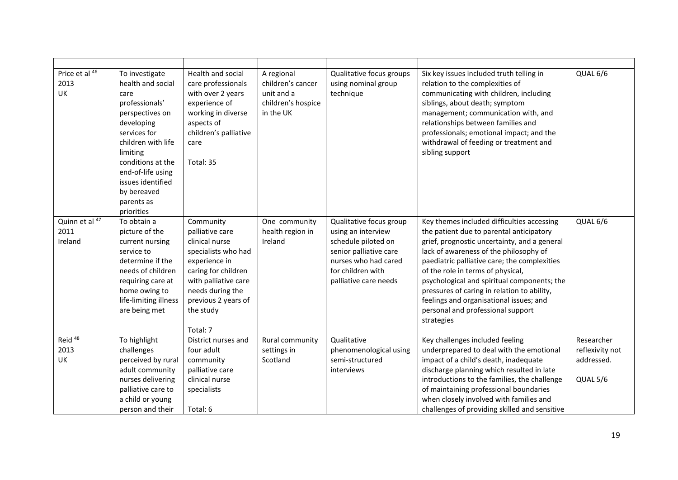| Price et al 46<br>2013<br>UK      | To investigate<br>health and social<br>care<br>professionals'<br>perspectives on<br>developing<br>services for<br>children with life<br>limiting<br>conditions at the<br>end-of-life using<br>issues identified<br>by bereaved<br>parents as<br>priorities | Health and social<br>care professionals<br>with over 2 years<br>experience of<br>working in diverse<br>aspects of<br>children's palliative<br>care<br>Total: 35                                           | A regional<br>children's cancer<br>unit and a<br>children's hospice<br>in the UK | Qualitative focus groups<br>using nominal group<br>technique                                                                                                         | Six key issues included truth telling in<br>relation to the complexities of<br>communicating with children, including<br>siblings, about death; symptom<br>management; communication with, and<br>relationships between families and<br>professionals; emotional impact; and the<br>withdrawal of feeding or treatment and<br>sibling support                                                                                                                     | QUAL 6/6                                                |
|-----------------------------------|------------------------------------------------------------------------------------------------------------------------------------------------------------------------------------------------------------------------------------------------------------|-----------------------------------------------------------------------------------------------------------------------------------------------------------------------------------------------------------|----------------------------------------------------------------------------------|----------------------------------------------------------------------------------------------------------------------------------------------------------------------|-------------------------------------------------------------------------------------------------------------------------------------------------------------------------------------------------------------------------------------------------------------------------------------------------------------------------------------------------------------------------------------------------------------------------------------------------------------------|---------------------------------------------------------|
| Quinn et al 47<br>2011<br>Ireland | To obtain a<br>picture of the<br>current nursing<br>service to<br>determine if the<br>needs of children<br>requiring care at<br>home owing to<br>life-limiting illness<br>are being met                                                                    | Community<br>palliative care<br>clinical nurse<br>specialists who had<br>experience in<br>caring for children<br>with palliative care<br>needs during the<br>previous 2 years of<br>the study<br>Total: 7 | One community<br>health region in<br>Ireland                                     | Qualitative focus group<br>using an interview<br>schedule piloted on<br>senior palliative care<br>nurses who had cared<br>for children with<br>palliative care needs | Key themes included difficulties accessing<br>the patient due to parental anticipatory<br>grief, prognostic uncertainty, and a general<br>lack of awareness of the philosophy of<br>paediatric palliative care; the complexities<br>of the role in terms of physical,<br>psychological and spiritual components; the<br>pressures of caring in relation to ability,<br>feelings and organisational issues; and<br>personal and professional support<br>strategies | QUAL 6/6                                                |
| Reid <sup>48</sup><br>2013<br>UK  | To highlight<br>challenges<br>perceived by rural<br>adult community<br>nurses delivering<br>palliative care to<br>a child or young<br>person and their                                                                                                     | District nurses and<br>four adult<br>community<br>palliative care<br>clinical nurse<br>specialists<br>Total: 6                                                                                            | Rural community<br>settings in<br>Scotland                                       | Qualitative<br>phenomenological using<br>semi-structured<br>interviews                                                                                               | Key challenges included feeling<br>underprepared to deal with the emotional<br>impact of a child's death, inadequate<br>discharge planning which resulted in late<br>introductions to the families, the challenge<br>of maintaining professional boundaries<br>when closely involved with families and<br>challenges of providing skilled and sensitive                                                                                                           | Researcher<br>reflexivity not<br>addressed.<br>QUAL 5/6 |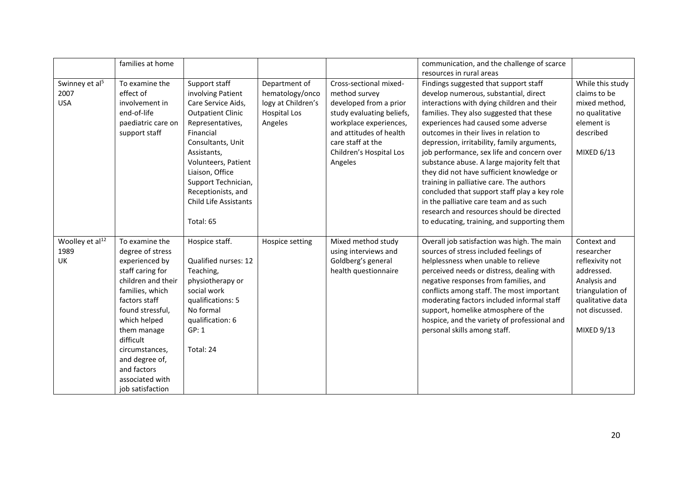|                                                  | families at home                                                                                                                                                                                                                                                                             |                                                                                                                                                                                                                                                                                               |                                                                                          |                                                                                                                                                                                                                | communication, and the challenge of scarce<br>resources in rural areas                                                                                                                                                                                                                                                                                                                                                                                                                                                                                                                                                                                                                |                                                                                                                                                    |
|--------------------------------------------------|----------------------------------------------------------------------------------------------------------------------------------------------------------------------------------------------------------------------------------------------------------------------------------------------|-----------------------------------------------------------------------------------------------------------------------------------------------------------------------------------------------------------------------------------------------------------------------------------------------|------------------------------------------------------------------------------------------|----------------------------------------------------------------------------------------------------------------------------------------------------------------------------------------------------------------|---------------------------------------------------------------------------------------------------------------------------------------------------------------------------------------------------------------------------------------------------------------------------------------------------------------------------------------------------------------------------------------------------------------------------------------------------------------------------------------------------------------------------------------------------------------------------------------------------------------------------------------------------------------------------------------|----------------------------------------------------------------------------------------------------------------------------------------------------|
| Swinney et al <sup>5</sup><br>2007<br><b>USA</b> | To examine the<br>effect of<br>involvement in<br>end-of-life<br>paediatric care on<br>support staff                                                                                                                                                                                          | Support staff<br>involving Patient<br>Care Service Aids,<br><b>Outpatient Clinic</b><br>Representatives,<br>Financial<br>Consultants, Unit<br>Assistants,<br>Volunteers, Patient<br>Liaison, Office<br>Support Technician,<br>Receptionists, and<br><b>Child Life Assistants</b><br>Total: 65 | Department of<br>hematology/onco<br>logy at Children's<br><b>Hospital Los</b><br>Angeles | Cross-sectional mixed-<br>method survey<br>developed from a prior<br>study evaluating beliefs,<br>workplace experiences,<br>and attitudes of health<br>care staff at the<br>Children's Hospital Los<br>Angeles | Findings suggested that support staff<br>develop numerous, substantial, direct<br>interactions with dying children and their<br>families. They also suggested that these<br>experiences had caused some adverse<br>outcomes in their lives in relation to<br>depression, irritability, family arguments,<br>job performance, sex life and concern over<br>substance abuse. A large majority felt that<br>they did not have sufficient knowledge or<br>training in palliative care. The authors<br>concluded that support staff play a key role<br>in the palliative care team and as such<br>research and resources should be directed<br>to educating, training, and supporting them | While this study<br>claims to be<br>mixed method,<br>no qualitative<br>element is<br>described<br>MIXED 6/13                                       |
| Woolley et al <sup>12</sup><br>1989<br><b>UK</b> | To examine the<br>degree of stress<br>experienced by<br>staff caring for<br>children and their<br>families, which<br>factors staff<br>found stressful,<br>which helped<br>them manage<br>difficult<br>circumstances,<br>and degree of,<br>and factors<br>associated with<br>job satisfaction | Hospice staff.<br>Qualified nurses: 12<br>Teaching,<br>physiotherapy or<br>social work<br>qualifications: 5<br>No formal<br>qualification: 6<br>GP: 1<br>Total: 24                                                                                                                            | Hospice setting                                                                          | Mixed method study<br>using interviews and<br>Goldberg's general<br>health questionnaire                                                                                                                       | Overall job satisfaction was high. The main<br>sources of stress included feelings of<br>helplessness when unable to relieve<br>perceived needs or distress, dealing with<br>negative responses from families, and<br>conflicts among staff. The most important<br>moderating factors included informal staff<br>support, homelike atmosphere of the<br>hospice, and the variety of professional and<br>personal skills among staff.                                                                                                                                                                                                                                                  | Context and<br>researcher<br>reflexivity not<br>addressed.<br>Analysis and<br>triangulation of<br>qualitative data<br>not discussed.<br>MIXED 9/13 |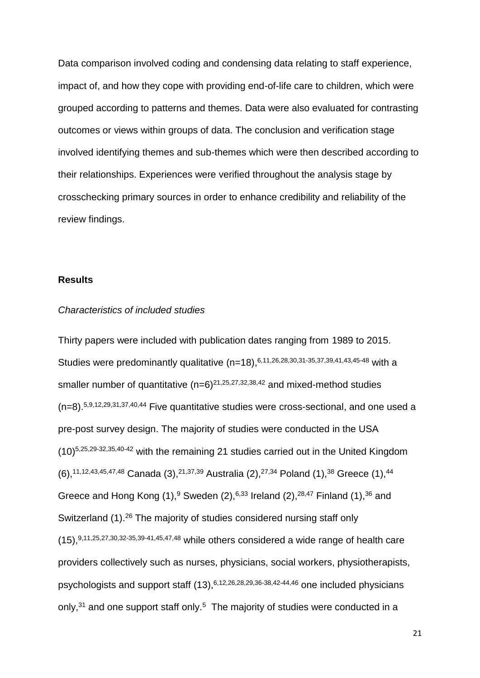Data comparison involved coding and condensing data relating to staff experience, impact of, and how they cope with providing end-of-life care to children, which were grouped according to patterns and themes. Data were also evaluated for contrasting outcomes or views within groups of data. The conclusion and verification stage involved identifying themes and sub-themes which were then described according to their relationships. Experiences were verified throughout the analysis stage by crosschecking primary sources in order to enhance credibility and reliability of the review findings.

#### **Results**

#### *Characteristics of included studies*

Thirty papers were included with publication dates ranging from 1989 to 2015. Studies were predominantly qualitative  $(n=18)$ ,  $6,11,26,28,30,31-35,37,39,41,43,45-48$  with a smaller number of quantitative  $(n=6)^{21,25,27,32,38,42}$  and mixed-method studies (n=8). 5,9,12,29,31,37,40,44 Five quantitative studies were cross-sectional, and one used a pre-post survey design. The majority of studies were conducted in the USA (10) 5,25,29-32,35,40-42 with the remaining 21 studies carried out in the United Kingdom  $(6)$ ,  $^{11,12,43,45,47,48}$  Canada  $(3)$ ,  $^{21,37,39}$  Australia  $(2)$ ,  $^{27,34}$  Poland  $(1)$ ,  $^{38}$  Greece  $(1)$ ,  $^{44}$ Greece and Hong Kong  $(1)$ , <sup>9</sup> Sweden  $(2)$ , <sup>6,33</sup> Ireland  $(2)$ , <sup>28,47</sup> Finland  $(1)$ , <sup>36</sup> and Switzerland (1).<sup>26</sup> The majority of studies considered nursing staff only  $(15)$ , 9,11,25,27,30,32-35,39-41,45,47,48 while others considered a wide range of health care providers collectively such as nurses, physicians, social workers, physiotherapists, psychologists and support staff (13), 6,12,26,28,29,36-38,42-44,46 one included physicians only, $31$  and one support staff only.<sup>5</sup> The majority of studies were conducted in a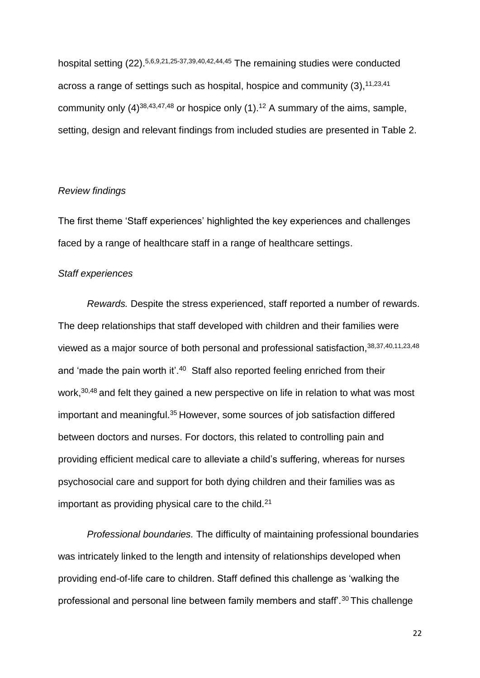hospital setting (22).<sup>5,6,9,21,25-37,39,40,42,44,45</sup> The remaining studies were conducted across a range of settings such as hospital, hospice and community  $(3)$ ,  $11,23,41$ community only  $(4)^{38,43,47,48}$  or hospice only  $(1)$ .<sup>12</sup> A summary of the aims, sample, setting, design and relevant findings from included studies are presented in Table 2.

### *Review findings*

The first theme 'Staff experiences' highlighted the key experiences and challenges faced by a range of healthcare staff in a range of healthcare settings.

#### *Staff experiences*

*Rewards.* Despite the stress experienced, staff reported a number of rewards. The deep relationships that staff developed with children and their families were viewed as a major source of both personal and professional satisfaction, 38,37,40,11,23,48 and 'made the pain worth it'.<sup>40</sup> Staff also reported feeling enriched from their work,<sup>30,48</sup> and felt they gained a new perspective on life in relation to what was most important and meaningful.<sup>35</sup> However, some sources of job satisfaction differed between doctors and nurses. For doctors, this related to controlling pain and providing efficient medical care to alleviate a child's suffering, whereas for nurses psychosocial care and support for both dying children and their families was as important as providing physical care to the child. $21$ 

*Professional boundaries.* The difficulty of maintaining professional boundaries was intricately linked to the length and intensity of relationships developed when providing end-of-life care to children. Staff defined this challenge as 'walking the professional and personal line between family members and staff<sup>'</sup>.<sup>30</sup> This challenge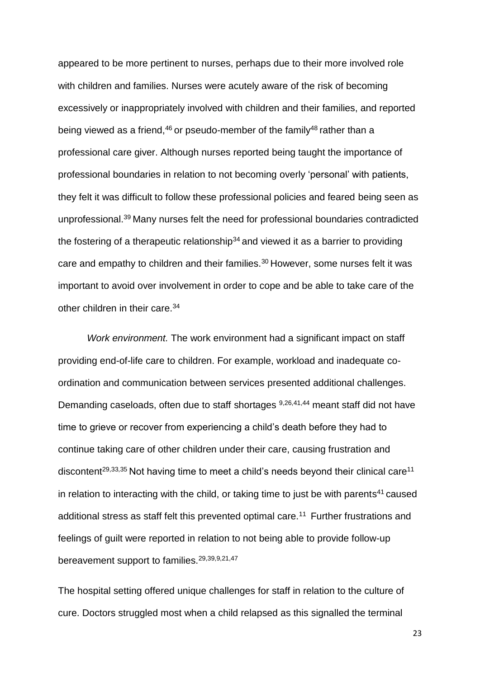appeared to be more pertinent to nurses, perhaps due to their more involved role with children and families. Nurses were acutely aware of the risk of becoming excessively or inappropriately involved with children and their families, and reported being viewed as a friend,  $46$  or pseudo-member of the family  $48$  rather than a professional care giver. Although nurses reported being taught the importance of professional boundaries in relation to not becoming overly 'personal' with patients, they felt it was difficult to follow these professional policies and feared being seen as unprofessional.<sup>39</sup> Many nurses felt the need for professional boundaries contradicted the fostering of a therapeutic relationship<sup>34</sup> and viewed it as a barrier to providing care and empathy to children and their families.<sup>30</sup> However, some nurses felt it was important to avoid over involvement in order to cope and be able to take care of the other children in their care.<sup>34</sup>

*Work environment.* The work environment had a significant impact on staff providing end-of-life care to children. For example, workload and inadequate coordination and communication between services presented additional challenges. Demanding caseloads, often due to staff shortages 9,26,41,44 meant staff did not have time to grieve or recover from experiencing a child's death before they had to continue taking care of other children under their care, causing frustration and discontent<sup>29,33,35</sup> Not having time to meet a child's needs beyond their clinical care<sup>11</sup> in relation to interacting with the child, or taking time to just be with parents <sup>41</sup> caused additional stress as staff felt this prevented optimal care.<sup>11</sup> Further frustrations and feelings of guilt were reported in relation to not being able to provide follow-up bereavement support to families.29,39,9,21,47

The hospital setting offered unique challenges for staff in relation to the culture of cure. Doctors struggled most when a child relapsed as this signalled the terminal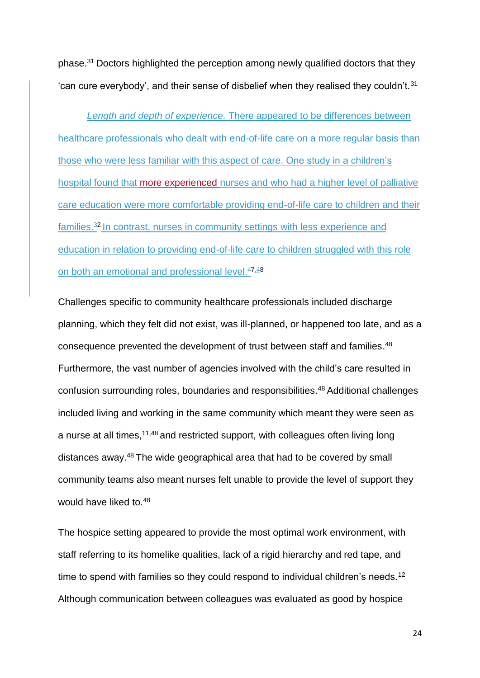phase.<sup>31</sup> Doctors highlighted the perception among newly qualified doctors that they 'can cure everybody', and their sense of disbelief when they realised they couldn't. $31$ 

*Length and depth of experience.* There appeared to be differences between healthcare professionals who dealt with end-of-life care on a more regular basis than those who were less familiar with this aspect of care. One study in a children's hospital found that more experienced nurses and who had a higher level of palliative care education were more comfortable providing end-of-life care to children and their families.<sup>32</sup> In contrast, nurses in community settings with less experience and education in relation to providing end-of-life care to children struggled with this role on both an emotional and professional level.47,48

Challenges specific to community healthcare professionals included discharge planning, which they felt did not exist, was ill-planned, or happened too late, and as a consequence prevented the development of trust between staff and families.<sup>48</sup> Furthermore, the vast number of agencies involved with the child's care resulted in confusion surrounding roles, boundaries and responsibilities.<sup>48</sup> Additional challenges included living and working in the same community which meant they were seen as a nurse at all times,<sup>11,48</sup> and restricted support, with colleagues often living long distances away.<sup>48</sup> The wide geographical area that had to be covered by small community teams also meant nurses felt unable to provide the level of support they would have liked to.<sup>48</sup>

The hospice setting appeared to provide the most optimal work environment, with staff referring to its homelike qualities, lack of a rigid hierarchy and red tape, and time to spend with families so they could respond to individual children's needs.<sup>12</sup> Although communication between colleagues was evaluated as good by hospice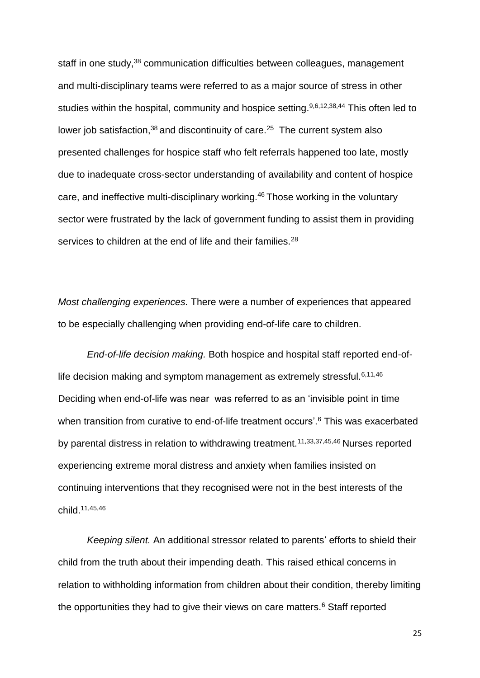staff in one study,<sup>38</sup> communication difficulties between colleagues, management and multi-disciplinary teams were referred to as a major source of stress in other studies within the hospital, community and hospice setting.<sup>9,6,12,38,44</sup> This often led to lower job satisfaction,  $38$  and discontinuity of care.  $25$  The current system also presented challenges for hospice staff who felt referrals happened too late, mostly due to inadequate cross-sector understanding of availability and content of hospice care, and ineffective multi-disciplinary working.<sup>46</sup> Those working in the voluntary sector were frustrated by the lack of government funding to assist them in providing services to children at the end of life and their families.<sup>28</sup>

*Most challenging experiences.* There were a number of experiences that appeared to be especially challenging when providing end-of-life care to children.

*End-of-life decision making.* Both hospice and hospital staff reported end-oflife decision making and symptom management as extremely stressful.  $6,11,46$ Deciding when end-of-life was near was referred to as an 'invisible point in time when transition from curative to end-of-life treatment occurs'.<sup>6</sup> This was exacerbated by parental distress in relation to withdrawing treatment.<sup>11,33,37,45,46</sup> Nurses reported experiencing extreme moral distress and anxiety when families insisted on continuing interventions that they recognised were not in the best interests of the child.11,45,46

*Keeping silent.* An additional stressor related to parents' efforts to shield their child from the truth about their impending death. This raised ethical concerns in relation to withholding information from children about their condition, thereby limiting the opportunities they had to give their views on care matters.<sup>6</sup> Staff reported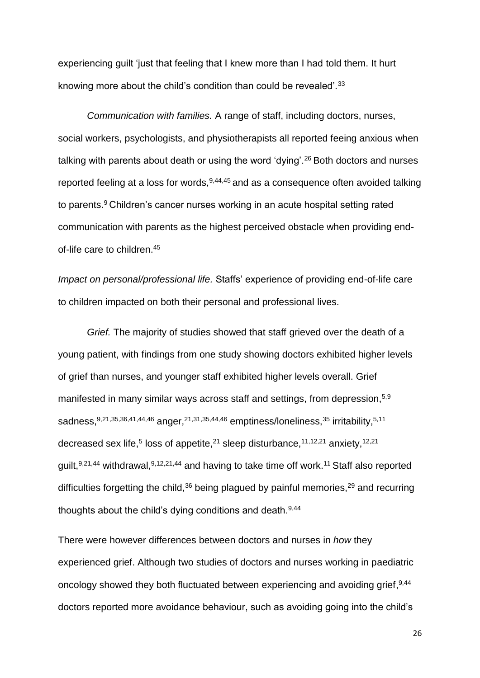experiencing guilt 'just that feeling that I knew more than I had told them. It hurt knowing more about the child's condition than could be revealed'.<sup>33</sup>

*Communication with families.* A range of staff, including doctors, nurses, social workers, psychologists, and physiotherapists all reported feeing anxious when talking with parents about death or using the word 'dying'.<sup>26</sup> Both doctors and nurses reported feeling at a loss for words,  $9,44,45$  and as a consequence often avoided talking to parents.<sup>9</sup> Children's cancer nurses working in an acute hospital setting rated communication with parents as the highest perceived obstacle when providing endof-life care to children.<sup>45</sup>

*Impact on personal/professional life.* Staffs' experience of providing end-of-life care to children impacted on both their personal and professional lives.

*Grief.* The majority of studies showed that staff grieved over the death of a young patient, with findings from one study showing doctors exhibited higher levels of grief than nurses, and younger staff exhibited higher levels overall. Grief manifested in many similar ways across staff and settings, from depression,<sup>5,9</sup> sadness, 9,21,35,36,41,44,46 anger, 21,31,35,44,46 emptiness/loneliness, <sup>35</sup> irritability, <sup>5,11</sup> decreased sex life,<sup>5</sup> loss of appetite,<sup>21</sup> sleep disturbance,<sup>11,12,21</sup> anxiety,<sup>12,21</sup> guilt,<sup>9,21,44</sup> withdrawal,<sup>9,12,21,44</sup> and having to take time off work.<sup>11</sup> Staff also reported difficulties forgetting the child, $36$  being plagued by painful memories, $29$  and recurring thoughts about the child's dying conditions and death.9,44

There were however differences between doctors and nurses in *how* they experienced grief. Although two studies of doctors and nurses working in paediatric oncology showed they both fluctuated between experiencing and avoiding grief, 9,44 doctors reported more avoidance behaviour, such as avoiding going into the child's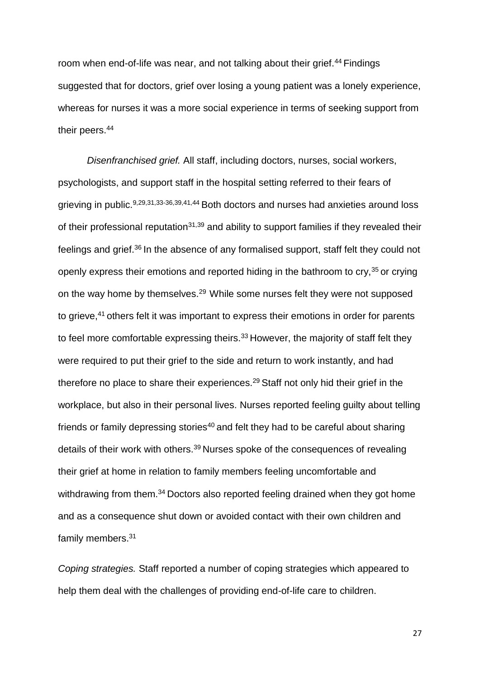room when end-of-life was near, and not talking about their grief.<sup>44</sup> Findings suggested that for doctors, grief over losing a young patient was a lonely experience, whereas for nurses it was a more social experience in terms of seeking support from their peers.<sup>44</sup>

*Disenfranchised grief.* All staff, including doctors, nurses, social workers, psychologists, and support staff in the hospital setting referred to their fears of grieving in public.<sup>9,29,31,33-36,39,41,44</sup> Both doctors and nurses had anxieties around loss of their professional reputation<sup>31,39</sup> and ability to support families if they revealed their feelings and grief.<sup>36</sup> In the absence of any formalised support, staff felt they could not openly express their emotions and reported hiding in the bathroom to cry,<sup>35</sup> or crying on the way home by themselves.<sup>29</sup> While some nurses felt they were not supposed to grieve,<sup>41</sup> others felt it was important to express their emotions in order for parents to feel more comfortable expressing theirs. $33$  However, the majority of staff felt they were required to put their grief to the side and return to work instantly, and had therefore no place to share their experiences.<sup>29</sup> Staff not only hid their grief in the workplace, but also in their personal lives. Nurses reported feeling guilty about telling friends or family depressing stories<sup>40</sup> and felt they had to be careful about sharing details of their work with others.<sup>39</sup> Nurses spoke of the consequences of revealing their grief at home in relation to family members feeling uncomfortable and withdrawing from them.<sup>34</sup> Doctors also reported feeling drained when they got home and as a consequence shut down or avoided contact with their own children and family members.<sup>31</sup>

*Coping strategies.* Staff reported a number of coping strategies which appeared to help them deal with the challenges of providing end-of-life care to children.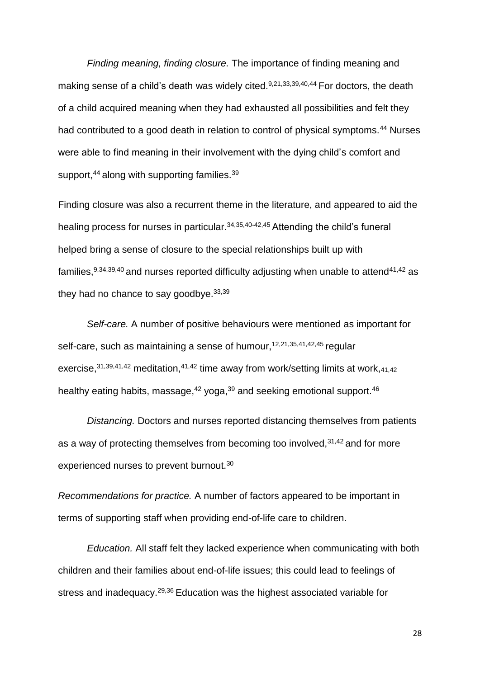*Finding meaning, finding closure.* The importance of finding meaning and making sense of a child's death was widely cited.<sup>9,21,33,39,40,44</sup> For doctors, the death of a child acquired meaning when they had exhausted all possibilities and felt they had contributed to a good death in relation to control of physical symptoms.<sup>44</sup> Nurses were able to find meaning in their involvement with the dying child's comfort and support,<sup>44</sup> along with supporting families.<sup>39</sup>

Finding closure was also a recurrent theme in the literature, and appeared to aid the healing process for nurses in particular.<sup>34,35,40-42,45</sup> Attending the child's funeral helped bring a sense of closure to the special relationships built up with families,  $9,34,39,40$  and nurses reported difficulty adjusting when unable to attend  $41,42$  as they had no chance to say goodbye.  $33,39$ 

*Self-care.* A number of positive behaviours were mentioned as important for self-care, such as maintaining a sense of humour, 12,21,35,41,42,45 regular exercise,  $31,39,41,42$  meditation,  $41,42$  time away from work/setting limits at work,  $41,42$ healthy eating habits, massage,<sup>42</sup> yoga,<sup>39</sup> and seeking emotional support.<sup>46</sup>

*Distancing.* Doctors and nurses reported distancing themselves from patients as a way of protecting themselves from becoming too involved,  $31,42$  and for more experienced nurses to prevent burnout.<sup>30</sup>

*Recommendations for practice.* A number of factors appeared to be important in terms of supporting staff when providing end-of-life care to children.

*Education.* All staff felt they lacked experience when communicating with both children and their families about end-of-life issues; this could lead to feelings of stress and inadequacy.29,36 Education was the highest associated variable for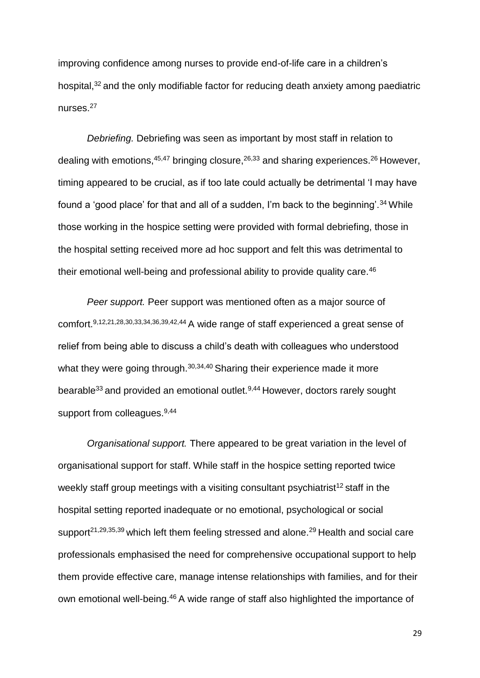improving confidence among nurses to provide end-of-life care in a children's hospital,<sup>32</sup> and the only modifiable factor for reducing death anxiety among paediatric nurses.<sup>27</sup>

*Debriefing.* Debriefing was seen as important by most staff in relation to dealing with emotions,  $45,47$  bringing closure,  $26,33$  and sharing experiences.  $26$  However, timing appeared to be crucial, as if too late could actually be detrimental 'I may have found a 'good place' for that and all of a sudden, I'm back to the beginning'.<sup>34</sup> While those working in the hospice setting were provided with formal debriefing, those in the hospital setting received more ad hoc support and felt this was detrimental to their emotional well-being and professional ability to provide quality care.<sup>46</sup>

*Peer support.* Peer support was mentioned often as a major source of comfort.9,12,21,28,30,33,34,36,39,42,44 A wide range of staff experienced a great sense of relief from being able to discuss a child's death with colleagues who understood what they were going through.<sup>30,34,40</sup> Sharing their experience made it more bearable<sup>33</sup> and provided an emotional outlet.<sup>9,44</sup> However, doctors rarely sought support from colleagues.<sup>9,44</sup>

*Organisational support.* There appeared to be great variation in the level of organisational support for staff. While staff in the hospice setting reported twice weekly staff group meetings with a visiting consultant psychiatrist<sup>12</sup> staff in the hospital setting reported inadequate or no emotional, psychological or social support<sup>21,29,35,39</sup> which left them feeling stressed and alone.<sup>29</sup> Health and social care professionals emphasised the need for comprehensive occupational support to help them provide effective care, manage intense relationships with families, and for their own emotional well-being.<sup>46</sup> A wide range of staff also highlighted the importance of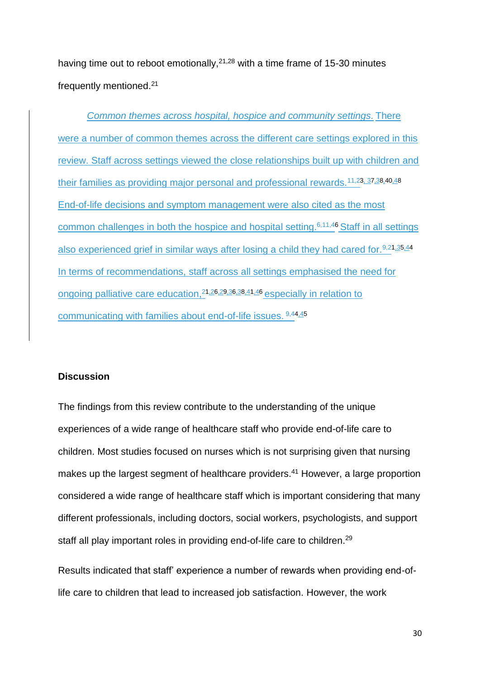having time out to reboot emotionally,  $2^{1,28}$  with a time frame of 15-30 minutes frequently mentioned.<sup>21</sup>

*Common themes across hospital, hospice and community settings.* There were a number of common themes across the different care settings explored in this review. Staff across settings viewed the close relationships built up with children and their families as providing major personal and professional rewards.<sup>11,23, 37,38,40,48</sup> End-of-life decisions and symptom management were also cited as the most common challenges in both the hospice and hospital setting.6,11,46 Staff in all settings also experienced grief in similar ways after losing a child they had cared for. 9,21,35,44 In terms of recommendations, staff across all settings emphasised the need for ongoing palliative care education,<sup>21,26,29,36,38,41,46</sup> especially in relation to communicating with families about end-of-life issues. 9,44,45

# **Discussion**

The findings from this review contribute to the understanding of the unique experiences of a wide range of healthcare staff who provide end-of-life care to children. Most studies focused on nurses which is not surprising given that nursing makes up the largest segment of healthcare providers. <sup>41</sup> However, a large proportion considered a wide range of healthcare staff which is important considering that many different professionals, including doctors, social workers, psychologists, and support staff all play important roles in providing end-of-life care to children.<sup>29</sup>

Results indicated that staff' experience a number of rewards when providing end-oflife care to children that lead to increased job satisfaction. However, the work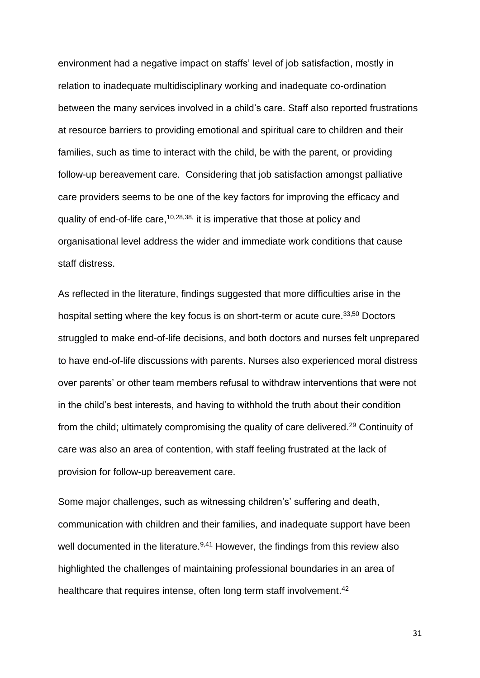environment had a negative impact on staffs' level of job satisfaction, mostly in relation to inadequate multidisciplinary working and inadequate co-ordination between the many services involved in a child's care. Staff also reported frustrations at resource barriers to providing emotional and spiritual care to children and their families, such as time to interact with the child, be with the parent, or providing follow-up bereavement care. Considering that job satisfaction amongst palliative care providers seems to be one of the key factors for improving the efficacy and quality of end-of-life care,<sup>10,28,38,</sup> it is imperative that those at policy and organisational level address the wider and immediate work conditions that cause staff distress.

As reflected in the literature, findings suggested that more difficulties arise in the hospital setting where the key focus is on short-term or acute cure.<sup>33,50</sup> Doctors struggled to make end-of-life decisions, and both doctors and nurses felt unprepared to have end-of-life discussions with parents. Nurses also experienced moral distress over parents' or other team members refusal to withdraw interventions that were not in the child's best interests, and having to withhold the truth about their condition from the child; ultimately compromising the quality of care delivered.<sup>29</sup> Continuity of care was also an area of contention, with staff feeling frustrated at the lack of provision for follow-up bereavement care.

Some major challenges, such as witnessing children's' suffering and death, communication with children and their families, and inadequate support have been well documented in the literature.<sup>9,41</sup> However, the findings from this review also highlighted the challenges of maintaining professional boundaries in an area of healthcare that requires intense, often long term staff involvement.<sup>42</sup>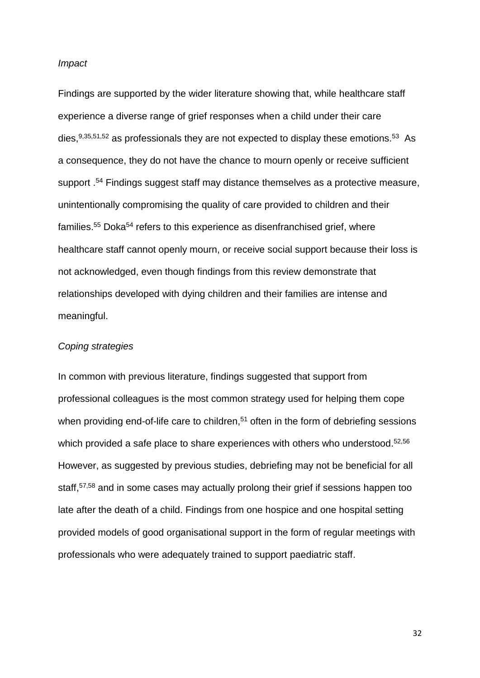#### *Impact*

Findings are supported by the wider literature showing that, while healthcare staff experience a diverse range of grief responses when a child under their care dies, $9,35,51,52$  as professionals they are not expected to display these emotions.<sup>53</sup> As a consequence, they do not have the chance to mourn openly or receive sufficient support . <sup>54</sup> Findings suggest staff may distance themselves as a protective measure, unintentionally compromising the quality of care provided to children and their families.<sup>55</sup> Doka<sup>54</sup> refers to this experience as disenfranchised grief, where healthcare staff cannot openly mourn, or receive social support because their loss is not acknowledged, even though findings from this review demonstrate that relationships developed with dying children and their families are intense and meaningful.

#### *Coping strategies*

In common with previous literature, findings suggested that support from professional colleagues is the most common strategy used for helping them cope when providing end-of-life care to children,<sup>51</sup> often in the form of debriefing sessions which provided a safe place to share experiences with others who understood.<sup>52,56</sup> However, as suggested by previous studies, debriefing may not be beneficial for all staff,57,58 and in some cases may actually prolong their grief if sessions happen too late after the death of a child. Findings from one hospice and one hospital setting provided models of good organisational support in the form of regular meetings with professionals who were adequately trained to support paediatric staff.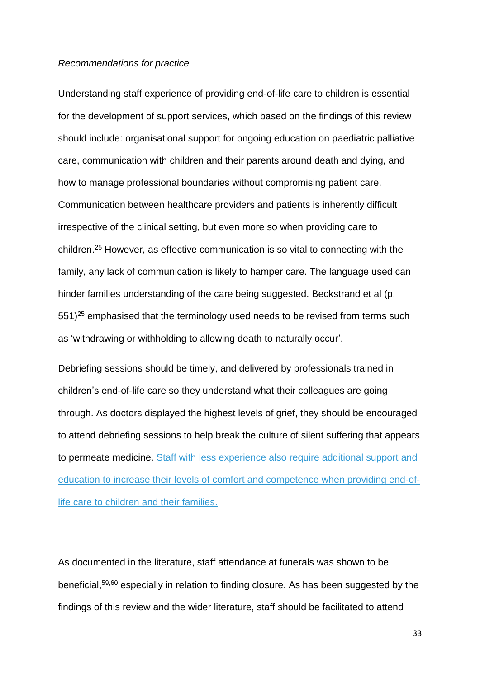#### *Recommendations for practice*

Understanding staff experience of providing end-of-life care to children is essential for the development of support services, which based on the findings of this review should include: organisational support for ongoing education on paediatric palliative care, communication with children and their parents around death and dying, and how to manage professional boundaries without compromising patient care. Communication between healthcare providers and patients is inherently difficult irrespective of the clinical setting, but even more so when providing care to children. <sup>25</sup> However, as effective communication is so vital to connecting with the family, any lack of communication is likely to hamper care. The language used can hinder families understanding of the care being suggested. Beckstrand et al (p.  $551$ <sup>25</sup> emphasised that the terminology used needs to be revised from terms such as 'withdrawing or withholding to allowing death to naturally occur'.

Debriefing sessions should be timely, and delivered by professionals trained in children's end-of-life care so they understand what their colleagues are going through. As doctors displayed the highest levels of grief, they should be encouraged to attend debriefing sessions to help break the culture of silent suffering that appears to permeate medicine. Staff with less experience also require additional support and education to increase their levels of comfort and competence when providing end-oflife care to children and their families.

As documented in the literature, staff attendance at funerals was shown to be beneficial, 59,60 especially in relation to finding closure. As has been suggested by the findings of this review and the wider literature, staff should be facilitated to attend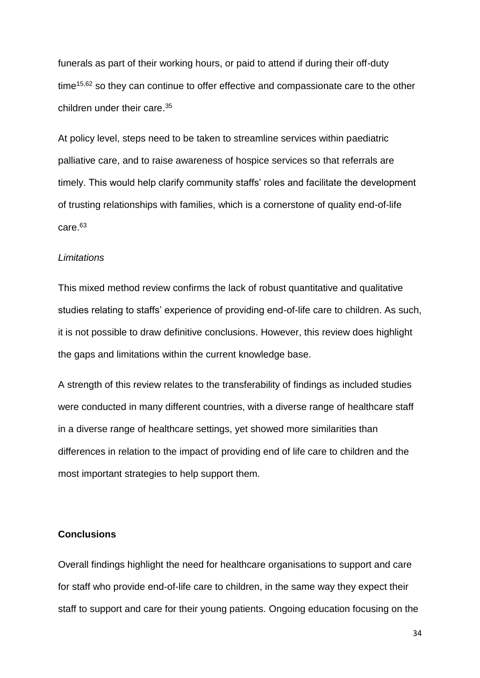funerals as part of their working hours, or paid to attend if during their off-duty time<sup>15,62</sup> so they can continue to offer effective and compassionate care to the other children under their care. 35

At policy level, steps need to be taken to streamline services within paediatric palliative care, and to raise awareness of hospice services so that referrals are timely. This would help clarify community staffs' roles and facilitate the development of trusting relationships with families, which is a cornerstone of quality end-of-life care. 63

#### *Limitations*

This mixed method review confirms the lack of robust quantitative and qualitative studies relating to staffs' experience of providing end-of-life care to children. As such, it is not possible to draw definitive conclusions. However, this review does highlight the gaps and limitations within the current knowledge base.

A strength of this review relates to the transferability of findings as included studies were conducted in many different countries, with a diverse range of healthcare staff in a diverse range of healthcare settings, yet showed more similarities than differences in relation to the impact of providing end of life care to children and the most important strategies to help support them.

# **Conclusions**

Overall findings highlight the need for healthcare organisations to support and care for staff who provide end-of-life care to children, in the same way they expect their staff to support and care for their young patients. Ongoing education focusing on the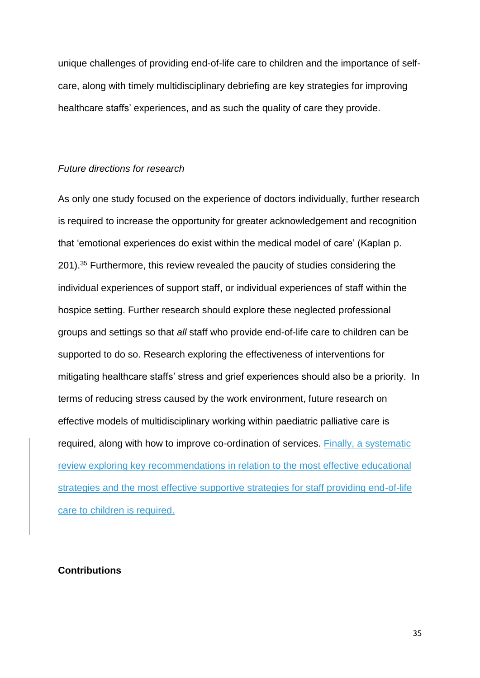unique challenges of providing end-of-life care to children and the importance of selfcare, along with timely multidisciplinary debriefing are key strategies for improving healthcare staffs' experiences, and as such the quality of care they provide.

### *Future directions for research*

As only one study focused on the experience of doctors individually, further research is required to increase the opportunity for greater acknowledgement and recognition that 'emotional experiences do exist within the medical model of care' (Kaplan p. 201).<sup>35</sup> Furthermore, this review revealed the paucity of studies considering the individual experiences of support staff, or individual experiences of staff within the hospice setting. Further research should explore these neglected professional groups and settings so that *all* staff who provide end-of-life care to children can be supported to do so. Research exploring the effectiveness of interventions for mitigating healthcare staffs' stress and grief experiences should also be a priority. In terms of reducing stress caused by the work environment, future research on effective models of multidisciplinary working within paediatric palliative care is required, along with how to improve co-ordination of services. Finally, a systematic review exploring key recommendations in relation to the most effective educational strategies and the most effective supportive strategies for staff providing end-of-life care to children is required.

## **Contributions**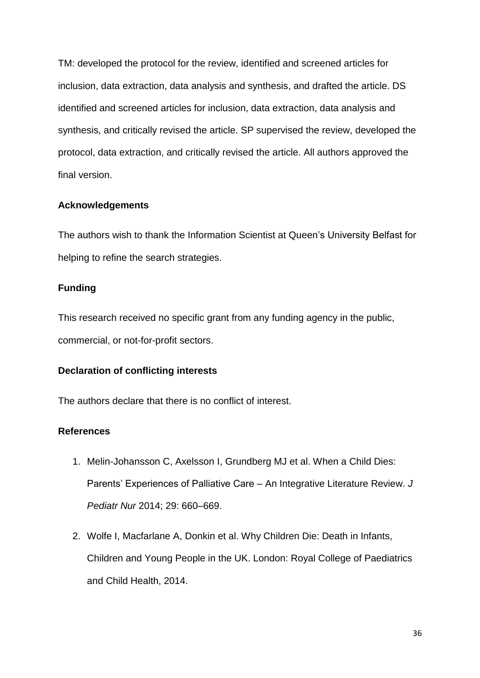TM: developed the protocol for the review, identified and screened articles for inclusion, data extraction, data analysis and synthesis, and drafted the article. DS identified and screened articles for inclusion, data extraction, data analysis and synthesis, and critically revised the article. SP supervised the review, developed the protocol, data extraction, and critically revised the article. All authors approved the final version.

## **Acknowledgements**

The authors wish to thank the Information Scientist at Queen's University Belfast for helping to refine the search strategies.

# **Funding**

This research received no specific grant from any funding agency in the public, commercial, or not-for-profit sectors.

## **Declaration of conflicting interests**

The authors declare that there is no conflict of interest.

# **References**

- 1. Melin-Johansson C, Axelsson I, Grundberg MJ et al. When a Child Dies: Parents' Experiences of Palliative Care – An Integrative Literature Review. *J Pediatr Nur* 2014; 29: 660–669.
- 2. Wolfe I, Macfarlane A, Donkin et al. Why Children Die: Death in Infants, Children and Young People in the UK. London: Royal College of Paediatrics and Child Health, 2014.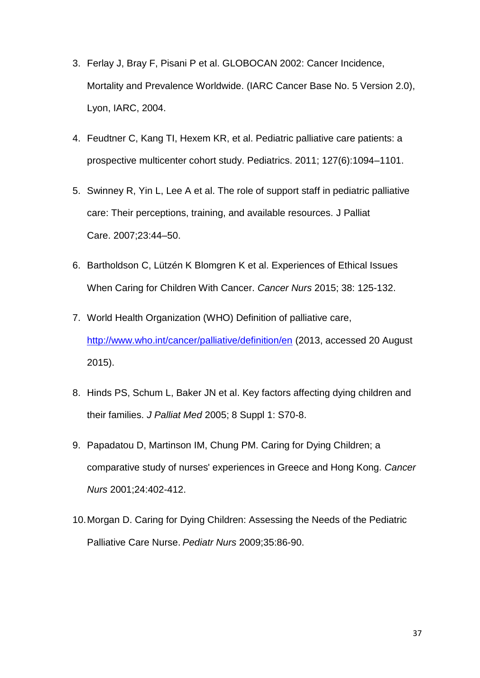- 3. Ferlay J, Bray F, Pisani P et al. GLOBOCAN 2002: Cancer Incidence, Mortality and Prevalence Worldwide. (IARC Cancer Base No. 5 Version 2.0), Lyon, IARC, 2004.
- 4. Feudtner C, Kang TI, Hexem KR, et al. Pediatric palliative care patients: a prospective multicenter cohort study. Pediatrics. 2011; 127(6):1094–1101.
- 5. Swinney R, Yin L, Lee A et al. The role of support staff in pediatric palliative care: Their perceptions, training, and available resources. J Palliat Care. 2007;23:44–50.
- 6. Bartholdson C, Lützén K Blomgren K et al. Experiences of Ethical Issues When Caring for Children With Cancer. *Cancer Nurs* 2015; 38: 125-132.
- 7. World Health Organization (WHO) Definition of palliative care, <http://www.who.int/cancer/palliative/definition/en> (2013, accessed 20 August 2015).
- 8. Hinds PS, Schum L, Baker JN et al. Key factors affecting dying children and their families. *J Palliat Med* 2005; 8 Suppl 1: S70-8.
- 9. Papadatou D, Martinson IM, Chung PM. Caring for Dying Children; a comparative study of nurses' experiences in Greece and Hong Kong. *Cancer Nurs* 2001;24:402-412.
- 10.Morgan D. Caring for Dying Children: Assessing the Needs of the Pediatric Palliative Care Nurse. *Pediatr Nurs* 2009;35:86-90.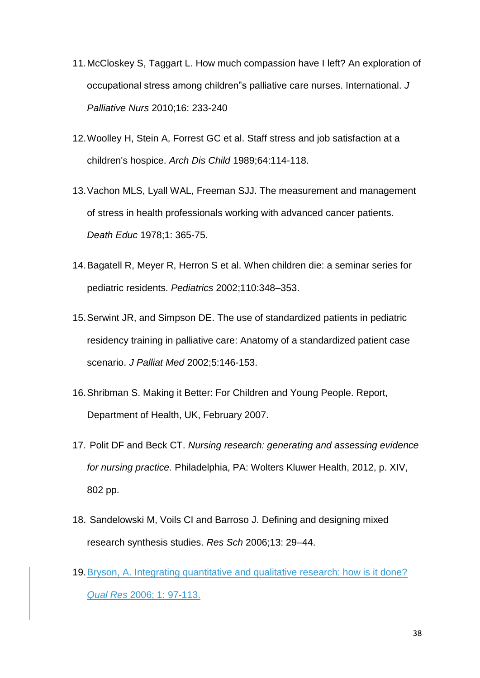- 11.McCloskey S, Taggart L. How much compassion have I left? An exploration of occupational stress among children"s palliative care nurses. International. *J Palliative Nurs* 2010;16: 233-240
- 12.Woolley H, Stein A, Forrest GC et al. Staff stress and job satisfaction at a children's hospice. *Arch Dis Child* 1989;64:114-118.
- 13.Vachon MLS, Lyall WAL, Freeman SJJ. The measurement and management of stress in health professionals working with advanced cancer patients. *Death Educ* 1978;1: 365-75.
- 14.Bagatell R, Meyer R, Herron S et al. When children die: a seminar series for pediatric residents. *Pediatrics* 2002;110:348–353.
- 15.Serwint JR, and Simpson DE. The use of standardized patients in pediatric residency training in palliative care: Anatomy of a standardized patient case scenario. *J Palliat Med* 2002;5:146-153.
- 16.Shribman S. Making it Better: For Children and Young People. Report, Department of Health, UK, February 2007.
- 17. Polit DF and Beck CT. *Nursing research: generating and assessing evidence for nursing practice.* Philadelphia, PA: Wolters Kluwer Health, 2012, p. XIV, 802 pp.
- 18. Sandelowski M, Voils CI and Barroso J. Defining and designing mixed research synthesis studies. *Res Sch* 2006;13: 29–44.
- 19.Bryson, A. Integrating quantitative and qualitative research: how is it done? *Qual Res* 2006; 1: 97-113.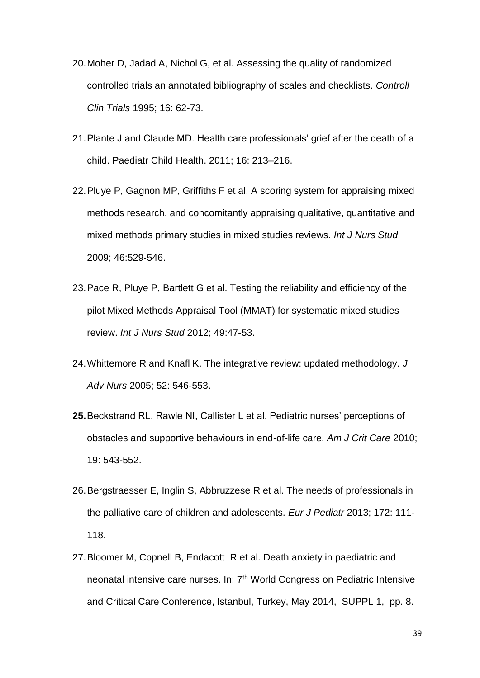- 20.Moher D, Jadad A, Nichol G, et al. Assessing the quality of randomized controlled trials an annotated bibliography of scales and checklists. *Controll Clin Trials* 1995; 16: 62-73.
- 21.Plante J and Claude MD. Health care professionals' grief after the death of a child. Paediatr Child Health. 2011; 16: 213–216.
- 22.Pluye P, Gagnon MP, Griffiths F et al. A scoring system for appraising mixed methods research, and concomitantly appraising qualitative, quantitative and mixed methods primary studies in mixed studies reviews. *Int J Nurs Stud* 2009; 46:529‐546.
- 23.Pace R, Pluye P, Bartlett G et al. Testing the reliability and efficiency of the pilot Mixed Methods Appraisal Tool (MMAT) for systematic mixed studies review. *Int J Nurs Stud* 2012; 49:47‐53.
- 24.Whittemore R and Knafl K. The integrative review: updated methodology. *J Adv Nurs* 2005; 52: 546-553.
- **25.**Beckstrand RL, Rawle NI, Callister L et al. Pediatric nurses' perceptions of obstacles and supportive behaviours in end-of-life care. *Am J Crit Care* 2010; 19: 543-552.
- 26.Bergstraesser E, Inglin S, Abbruzzese R et al. The needs of professionals in the palliative care of children and adolescents. *Eur J Pediatr* 2013; 172: 111- 118.
- 27.Bloomer M, Copnell B, Endacott R et al. Death anxiety in paediatric and neonatal intensive care nurses. In: 7<sup>th</sup> World Congress on Pediatric Intensive and Critical Care Conference, Istanbul, Turkey, May 2014, SUPPL 1, pp. 8.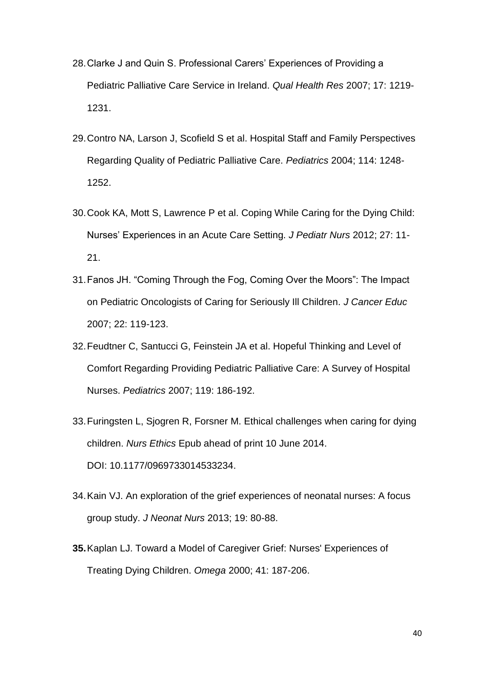- 28.Clarke J and Quin S. Professional Carers' Experiences of Providing a Pediatric Palliative Care Service in Ireland. *Qual Health Res* 2007; 17: 1219- 1231.
- 29.Contro NA, Larson J, Scofield S et al. Hospital Staff and Family Perspectives Regarding Quality of Pediatric Palliative Care. *Pediatrics* 2004; 114: 1248- 1252.
- 30.Cook KA, Mott S, Lawrence P et al. Coping While Caring for the Dying Child: Nurses' Experiences in an Acute Care Setting. *J Pediatr Nurs* 2012; 27: 11- 21.
- 31.Fanos JH. "Coming Through the Fog, Coming Over the Moors": The Impact on Pediatric Oncologists of Caring for Seriously Ill Children. *J Cancer Educ*  2007; 22: 119-123.
- 32.Feudtner C, Santucci G, Feinstein JA et al. Hopeful Thinking and Level of Comfort Regarding Providing Pediatric Palliative Care: A Survey of Hospital Nurses. *Pediatrics* 2007; 119: 186-192.
- 33.Furingsten L, Sjogren R, Forsner M. Ethical challenges when caring for dying children. *Nurs Ethics* Epub ahead of print 10 June 2014. DOI: 10.1177/0969733014533234.
- 34.Kain VJ. An exploration of the grief experiences of neonatal nurses: A focus group study. *J Neonat Nurs* 2013; 19: 80-88.
- **35.**Kaplan LJ. Toward a Model of Caregiver Grief: Nurses' Experiences of Treating Dying Children. *Omega* 2000; 41: 187-206.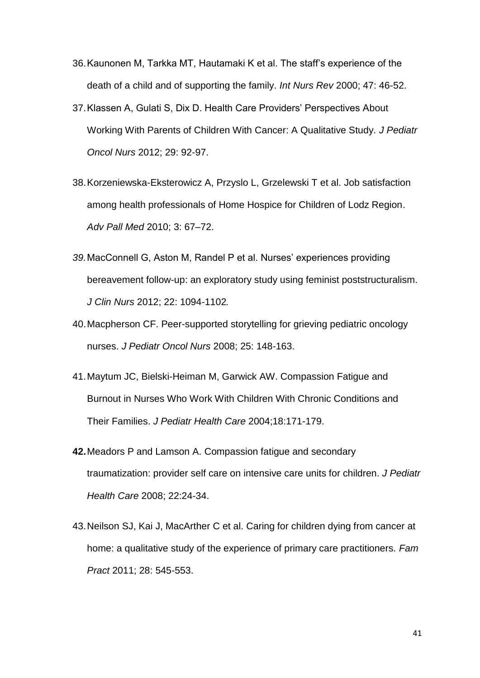- 36.Kaunonen M, Tarkka MT, Hautamaki K et al. The staff's experience of the death of a child and of supporting the family. *Int Nurs Rev* 2000; 47: 46-52.
- 37.Klassen A, Gulati S, Dix D. Health Care Providers' Perspectives About Working With Parents of Children With Cancer: A Qualitative Study. *J Pediatr Oncol Nurs* 2012; 29: 92-97.
- 38.Korzeniewska-Eksterowicz A, Przyslo L, Grzelewski T et al. Job satisfaction among health professionals of Home Hospice for Children of Lodz Region. *Adv Pall Med* 2010; 3: 67–72.
- *39.*MacConnell G, Aston M, Randel P et al. Nurses' experiences providing bereavement follow-up: an exploratory study using feminist poststructuralism. *J Clin Nurs* 2012; 22: 1094-1102*.*
- 40.Macpherson CF. Peer-supported storytelling for grieving pediatric oncology nurses. *J Pediatr Oncol Nurs* 2008; 25: 148-163.
- 41.Maytum JC, Bielski-Heiman M, Garwick AW. Compassion Fatigue and Burnout in Nurses Who Work With Children With Chronic Conditions and Their Families. *J Pediatr Health Care* 2004;18:171-179.
- **42.**Meadors P and Lamson A. Compassion fatigue and secondary traumatization: provider self care on intensive care units for children. *J Pediatr Health Care* 2008; 22:24-34.
- 43.Neilson SJ, Kai J, MacArther C et al. Caring for children dying from cancer at home: a qualitative study of the experience of primary care practitioners. *Fam Pract* 2011; 28: 545-553.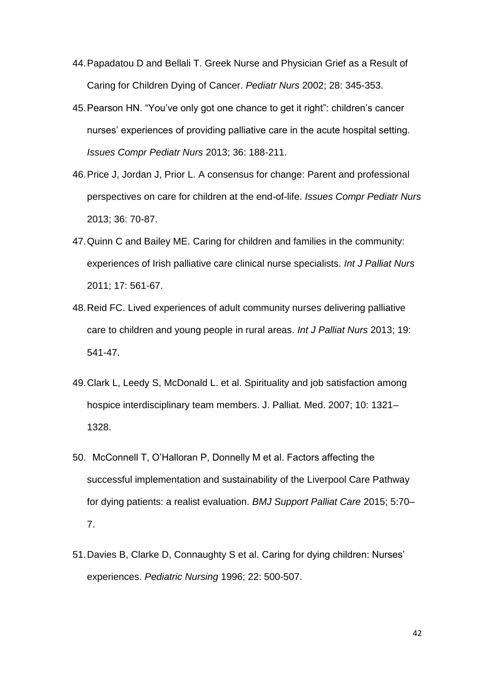- 44.Papadatou D and Bellali T. Greek Nurse and Physician Grief as a Result of Caring for Children Dying of Cancer. *Pediatr Nurs* 2002; 28: 345-353.
- 45.Pearson HN. "You've only got one chance to get it right": children's cancer nurses' experiences of providing palliative care in the acute hospital setting. *Issues Compr Pediatr Nurs* 2013; 36: 188-211.
- 46.Price J, Jordan J, Prior L. A consensus for change: Parent and professional perspectives on care for children at the end-of-life. *Issues Compr Pediatr Nurs*  2013; 36: 70-87.
- 47.Quinn C and Bailey ME. Caring for children and families in the community: experiences of Irish palliative care clinical nurse specialists. *Int J Palliat Nurs*  2011; 17: 561-67.
- 48.Reid FC. Lived experiences of adult community nurses delivering palliative care to children and young people in rural areas. *Int J Palliat Nurs* 2013; 19: 541-47.
- 49.Clark L, Leedy S, McDonald L. et al. Spirituality and job satisfaction among hospice interdisciplinary team members. J. Palliat. Med. 2007; 10: 1321– 1328.
- 50. McConnell T, O'Halloran P, Donnelly M et al. Factors affecting the successful implementation and sustainability of the Liverpool Care Pathway for dying patients: a realist evaluation. *BMJ Support Palliat Care* 2015; 5:70– 7.
- 51.Davies B, Clarke D, Connaughty S et al. Caring for dying children: Nurses' experiences. *Pediatric Nursing* 1996; 22: 500-507.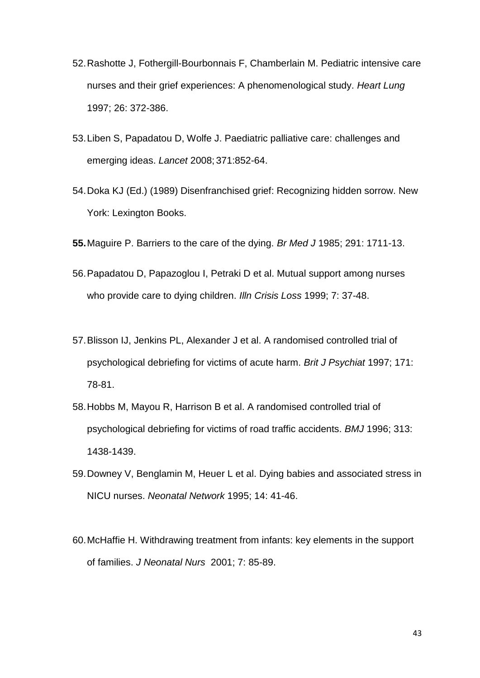- 52.Rashotte J, Fothergill-Bourbonnais F, Chamberlain M. Pediatric intensive care nurses and their grief experiences: A phenomenological study. *Heart Lung*  1997; 26: 372-386.
- 53.Liben S, Papadatou D, Wolfe J. Paediatric palliative care: challenges and emerging ideas. *Lancet* 2008; 371:852-64.
- 54.Doka KJ (Ed.) (1989) Disenfranchised grief: Recognizing hidden sorrow. New York: Lexington Books.
- **55.**Maguire P. Barriers to the care of the dying. *Br Med J* 1985; 291: 1711-13.
- 56.Papadatou D, Papazoglou I, Petraki D et al. Mutual support among nurses who provide care to dying children. *Illn Crisis Loss* 1999; 7: 37-48.
- 57.Blisson IJ, Jenkins PL, Alexander J et al. A randomised controlled trial of psychological debriefing for victims of acute harm. *Brit J Psychiat* 1997; 171: 78-81.
- 58.Hobbs M, Mayou R, Harrison B et al. A randomised controlled trial of psychological debriefing for victims of road traffic accidents. *BMJ* 1996; 313: 1438-1439.
- 59.Downey V, Benglamin M, Heuer L et al. Dying babies and associated stress in NICU nurses. *Neonatal Network* 1995; 14: 41-46.
- 60.McHaffie H. Withdrawing treatment from infants: key elements in the support of families. *J Neonatal Nurs* 2001; 7: 85-89.